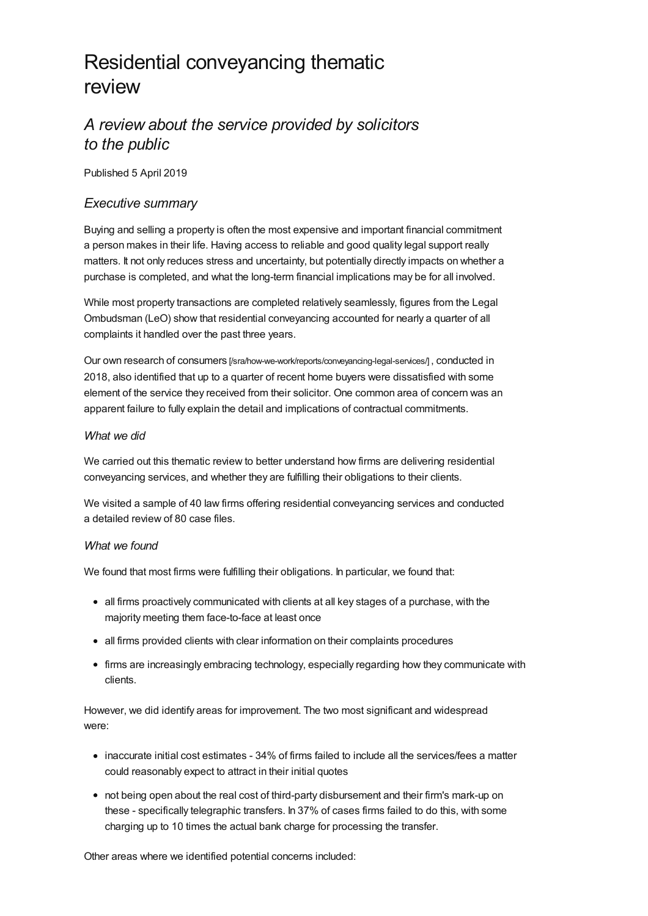# Residential conveyancing thematic review

# *A review about the service provided by solicitors to the public*

Published 5 April 2019

# *Executive summary*

Buying and selling a property is often the most expensive and important financial commitment a person makes in their life. Having access to reliable and good quality legal support really matters. It not only reduces stress and uncertainty, but potentially directly impacts on whether a purchase is completed, and what the long-term financial implications may be for all involved.

While most property transactions are completed relatively seamlessly, figures from the Legal Ombudsman (LeO) show that residential conveyancing accounted for nearly a quarter of all complaints it handled over the past three years.

Our own research of consumers [\[/sra/how-we-work/reports/conveyancing-legal-services/\]](https://www.sra.org.uk/sra/how-we-work/reports/conveyancing-legal-services/) , conducted in 2018, also identified that up to a quarter of recent home buyers were dissatisfied with some element of the service they received from their solicitor. One common area of concern was an apparent failure to fully explain the detail and implications of contractual commitments.

## *What we did*

We carried out this thematic review to better understand how firms are delivering residential conveyancing services, and whether they are fulfilling their obligations to their clients.

We visited a sample of 40 law firms offering residential conveyancing services and conducted a detailed review of 80 case files.

## *What we found*

We found that most firms were fulfilling their obligations. In particular, we found that:

- all firms proactively communicated with clients at all key stages of a purchase, with the majority meeting them face-to-face at least once
- all firms provided clients with clear information on their complaints procedures
- firms are increasingly embracing technology, especially regarding how they communicate with clients.

However, we did identify areas for improvement. The two most significant and widespread were:

- inaccurate initial cost estimates 34% of firms failed to include all the services/fees a matter could reasonably expect to attract in their initial quotes
- not being open about the real cost of third-party disbursement and their firm's mark-up on these - specifically telegraphic transfers. In 37% of cases firms failed to do this, with some charging up to 10 times the actual bank charge for processing the transfer.

Other areas where we identified potential concerns included: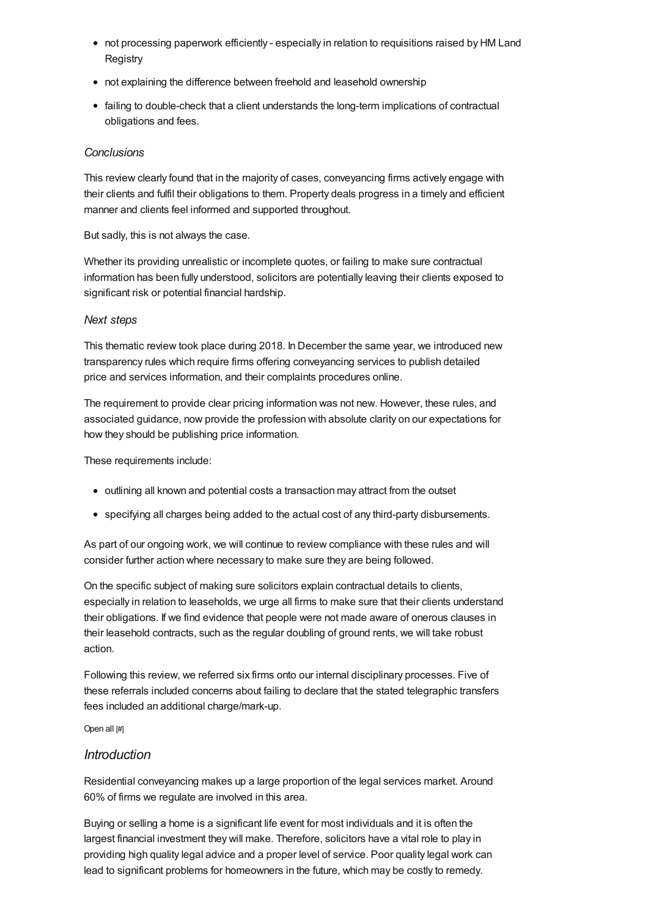- not processing paperwork efficiently especially in relation to requisitions raised by HM Land **Registry**
- not explaining the difference between freehold and leasehold ownership
- failing to double-check that a client understands the long-term implications of contractual obligations and fees.

## *Conclusions*

This review clearly found that in the majority of cases, conveyancing firms actively engage with their clients and fulfil their obligations to them. Property deals progress in a timely and efficient manner and clients feel informed and supported throughout.

But sadly, this is not always the case.

Whether its providing unrealistic or incomplete quotes, or failing to make sure contractual information has been fully understood, solicitors are potentially leaving their clients exposed to significant risk or potential financial hardship.

## *Next steps*

This thematic review took place during 2018. In December the same year, we introduced new transparency rules which require firms offering conveyancing services to publish detailed price and services information, and their complaints procedures online.

The requirement to provide clear pricing information was not new. However, these rules, and associated guidance, now provide the profession with absolute clarity on our expectations for how they should be publishing price information.

These requirements include:

- outlining all known and potential costs a transaction may attract from the outset
- specifying all charges being added to the actual cost of any third-party disbursements.

As part of our ongoing work, we will continue to review compliance with these rules and will consider further action where necessary to make sure they are being followed.

On the specific subject of making sure solicitors explain contractual details to clients, especially in relation to leaseholds, we urge all firms to make sure that their clients understand their obligations. If we find evidence that people were not made aware of onerous clauses in their leasehold contracts, such as the regular doubling of ground rents, we will take robust action.

Following this review, we referred six firms onto our internal disciplinary processes. Five of these referrals included concerns about failing to declare that the stated telegraphic transfers fees included an additional charge/mark-up.

Open all [#]

# *[Introduction](#page-3-0)*

Residential conveyancing makes up a large proportion of the legal services market. Around 60% of firms we regulate are involved in this area.

Buying or selling a home is a significant life event for most individuals and it is often the largest financial investment they will make. Therefore, solicitors have a vital role to play in providing high quality legal advice and a proper level of service. Poor quality legal work can lead to significant problems for homeowners in the future, which may be costly to remedy.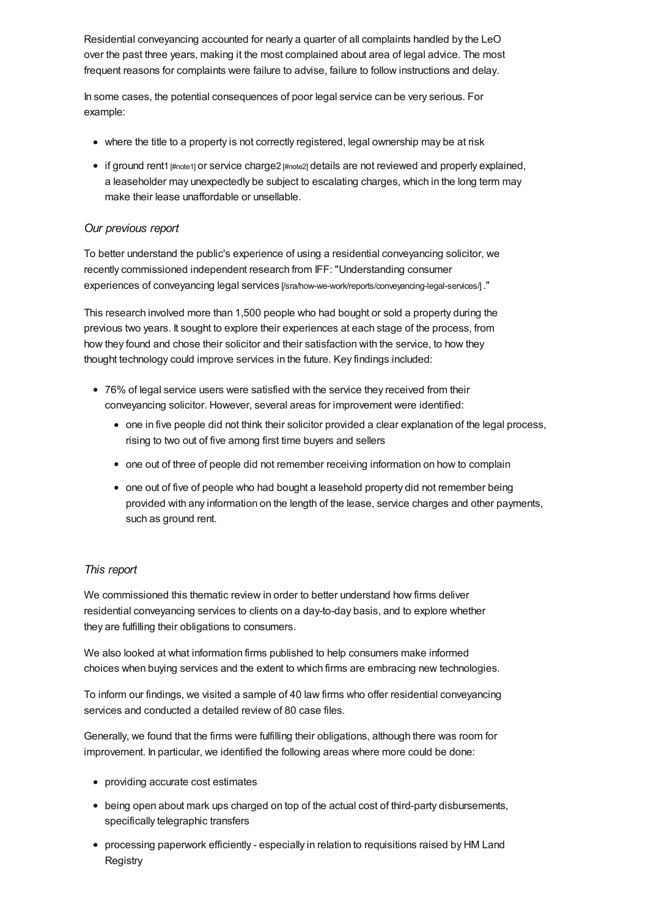Residential conveyancing accounted for nearly a quarter of all complaints handled by the LeO over the past three years, making it the most complained about area of legal advice. The most frequent reasons for complaints were failure to advise, failure to follow instructions and delay.

In some cases, the potential consequences of poor legal service can be very serious. For example:

- where the title to a property is not correctly registered, legal ownership may be at risk
- if ground rent1 [\[#note1\]](#page-37-0) or service charge2 [\[#note2\]](#page-37-1) details are not reviewed and properly explained, a leaseholder may unexpectedly be subject to escalating charges, which in the long term may make their lease unaffordable or unsellable.

## *Our previous report*

To better understand the public's experience of using a residential conveyancing solicitor, we recently commissioned independent research from IFF: "Understanding consumer experiences of conveyancing legal services [\[/sra/how-we-work/reports/conveyancing-legal-services/\]](https://www.sra.org.uk/sra/how-we-work/reports/conveyancing-legal-services/) ."

This research involved more than 1,500 people who had bought or sold a property during the previous two years. It sought to explore their experiences at each stage of the process, from how they found and chose their solicitor and their satisfaction with the service, to how they thought technology could improve services in the future. Key findings included:

- 76% of legal service users were satisfied with the service they received from their conveyancing solicitor. However, several areas for improvement were identified:
	- one in five people did not think their solicitor provided a clear explanation of the legal process, rising to two out of five among first time buyers and sellers
	- one out of three of people did not remember receiving information on how to complain
	- one out of five of people who had bought a leasehold property did not remember being provided with any information on the length of the lease, service charges and other payments, such as ground rent.

## *This report*

We commissioned this thematic review in order to better understand how firms deliver residential conveyancing services to clients on a day-to-day basis, and to explore whether they are fulfilling their obligations to consumers.

We also looked at what information firms published to help consumers make informed choices when buying services and the extent to which firms are embracing new technologies.

To inform our findings, we visited a sample of 40 law firms who offer residential conveyancing services and conducted a detailed review of 80 case files.

Generally, we found that the firms were fulfilling their obligations, although there was room for improvement. In particular, we identified the following areas where more could be done:

- providing accurate cost estimates
- being open about mark ups charged on top of the actual cost of third-party disbursements, specifically telegraphic transfers
- processing paperwork efficiently especially in relation to requisitions raised by HM Land **Registry**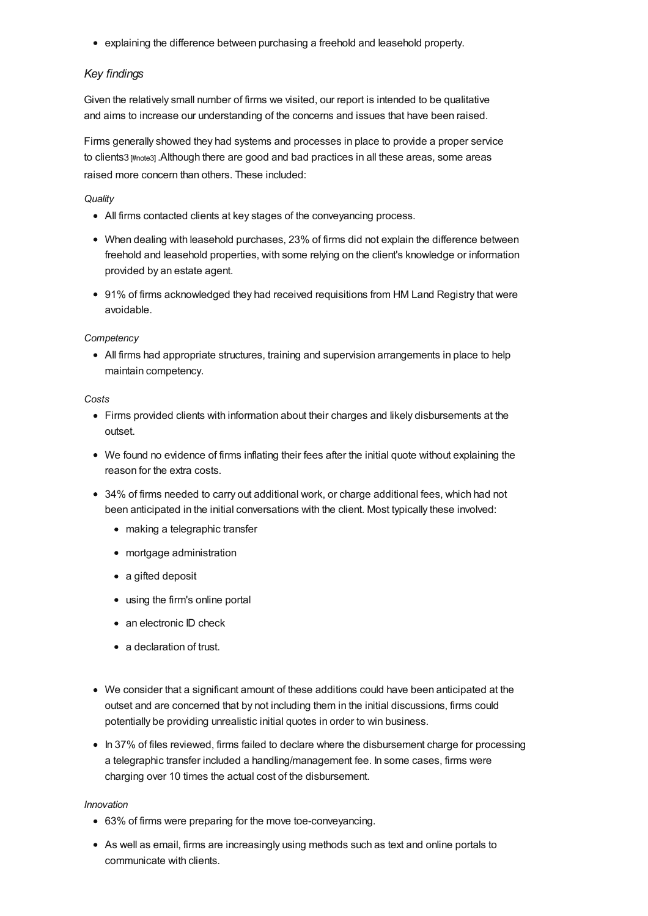<span id="page-3-0"></span>explaining the difference between purchasing a freehold and leasehold property.

## *Key findings*

Given the relatively small number of firms we visited, our report is intended to be qualitative and aims to increase our understanding of the concerns and issues that have been raised.

Firms generally showed they had systems and processes in place to provide a proper service to clients3 [\[#note3\]](#page-37-2) .Although there are good and bad practices in all these areas, some areas raised more concern than others. These included:

## *Quality*

- All firms contacted clients at key stages of the conveyancing process.
- When dealing with leasehold purchases, 23% of firms did not explain the difference between freehold and leasehold properties, with some relying on the client's knowledge or information provided by an estate agent.
- 91% of firms acknowledged they had received requisitions from HM Land Registry that were avoidable.

## *Competency*

All firms had appropriate structures, training and supervision arrangements in place to help maintain competency.

## *Costs*

- Firms provided clients with information about their charges and likely disbursements at the outset.
- We found no evidence of firms inflating their fees after the initial quote without explaining the reason for the extra costs.
- 34% of firms needed to carry out additional work, or charge additional fees, which had not been anticipated in the initial conversations with the client. Most typically these involved:
	- making a telegraphic transfer
	- mortgage administration
	- a gifted deposit
	- using the firm's online portal
	- an electronic ID check
	- a declaration of trust.
- We consider that a significant amount of these additions could have been anticipated at the outset and are concerned that by not including them in the initial discussions, firms could potentially be providing unrealistic initial quotes in order to win business.
- In 37% of files reviewed, firms failed to declare where the disbursement charge for processing a telegraphic transfer included a handling/management fee. In some cases, firms were charging over 10 times the actual cost of the disbursement.

#### *Innovation*

- 63% of firms were preparing for the move toe-conveyancing.
- As well as email, firms are increasingly using methods such as text and online portals to communicate with clients.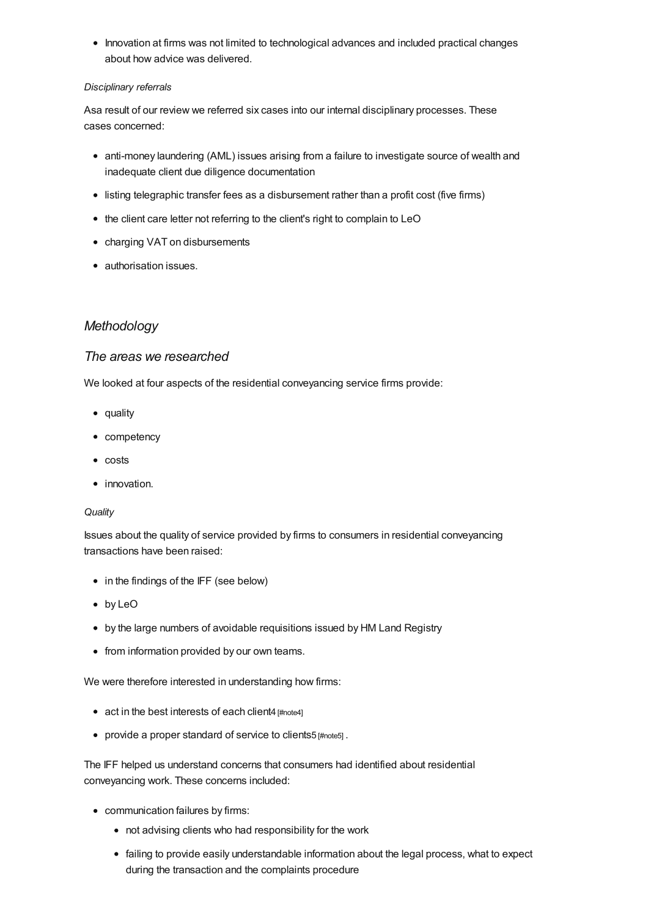• Innovation at firms was not limited to technological advances and included practical changes about how advice was delivered.

## *Disciplinary referrals*

Asa result of our review we referred six cases into our internal disciplinary processes. These cases concerned:

- anti-money laundering (AML) issues arising from a failure to investigate source of wealth and inadequate client due diligence documentation
- listing telegraphic transfer fees as a disbursement rather than a profit cost (five firms)
- the client care letter not referring to the client's right to complain to LeO
- charging VAT on disbursements
- authorisation issues.

# *[Methodology](#page-5-0)*

# *The areas we researched*

We looked at four aspects of the residential conveyancing service firms provide:

- quality
- competency
- costs
- innovation.

#### *Quality*

Issues about the quality of service provided by firms to consumers in residential conveyancing transactions have been raised:

- in the findings of the IFF (see below)
- by LeO
- by the large numbers of avoidable requisitions issued by HM Land Registry
- from information provided by our own teams.

We were therefore interested in understanding how firms:

- act in the best interests of each client4 [\[#note4\]](#page-37-3)
- provide a proper standard of service to clients5 [\[#note5\]](#page-37-4) .

The IFF helped us understand concerns that consumers had identified about residential conveyancing work. These concerns included:

- communication failures by firms:
	- not advising clients who had responsibility for the work
	- failing to provide easily understandable information about the legal process, what to expect during the transaction and the complaints procedure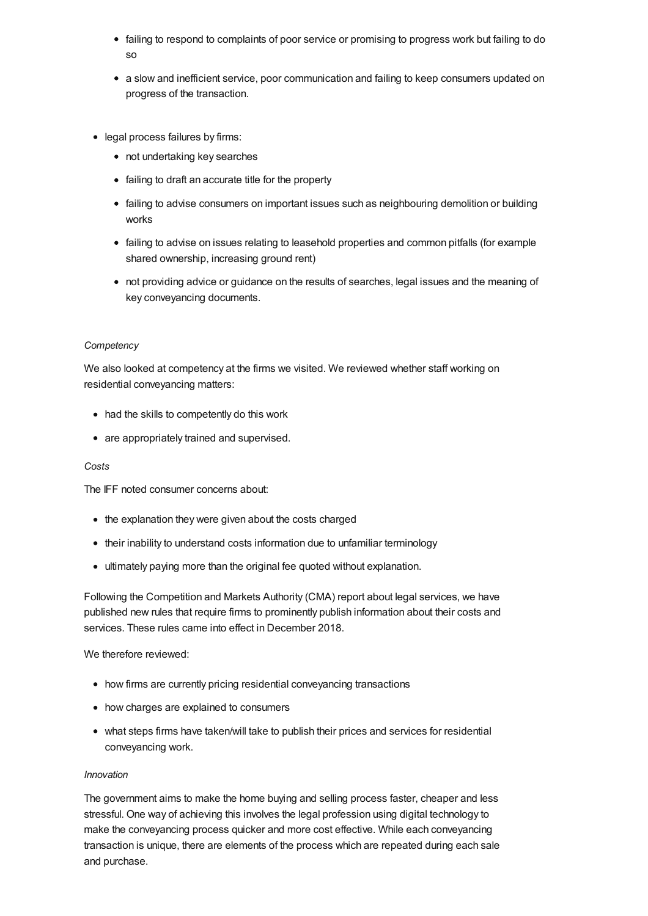- <span id="page-5-0"></span>failing to respond to complaints of poor service or promising to progress work but failing to do so
- a slow and inefficient service, poor communication and failing to keep consumers updated on progress of the transaction.
- legal process failures by firms:
	- not undertaking key searches
	- failing to draft an accurate title for the property
	- failing to advise consumers on important issues such as neighbouring demolition or building works
	- failing to advise on issues relating to leasehold properties and common pitfalls (for example shared ownership, increasing ground rent)
	- not providing advice or guidance on the results of searches, legal issues and the meaning of key conveyancing documents.

#### *Competency*

We also looked at competency at the firms we visited. We reviewed whether staff working on residential conveyancing matters:

- had the skills to competently do this work
- are appropriately trained and supervised.

#### *Costs*

The IFF noted consumer concerns about:

- the explanation they were given about the costs charged
- their inability to understand costs information due to unfamiliar terminology
- ultimately paying more than the original fee quoted without explanation.

Following the Competition and Markets Authority (CMA) report about legal services, we have published new rules that require firms to prominently publish information about their costs and services. These rules came into effect in December 2018.

We therefore reviewed:

- how firms are currently pricing residential conveyancing transactions
- how charges are explained to consumers
- what steps firms have taken/will take to publish their prices and services for residential conveyancing work.

#### *Innovation*

The government aims to make the home buying and selling process faster, cheaper and less stressful. One way of achieving this involves the legal profession using digital technology to make the conveyancing process quicker and more cost effective. While each conveyancing transaction is unique, there are elements of the process which are repeated during each sale and purchase.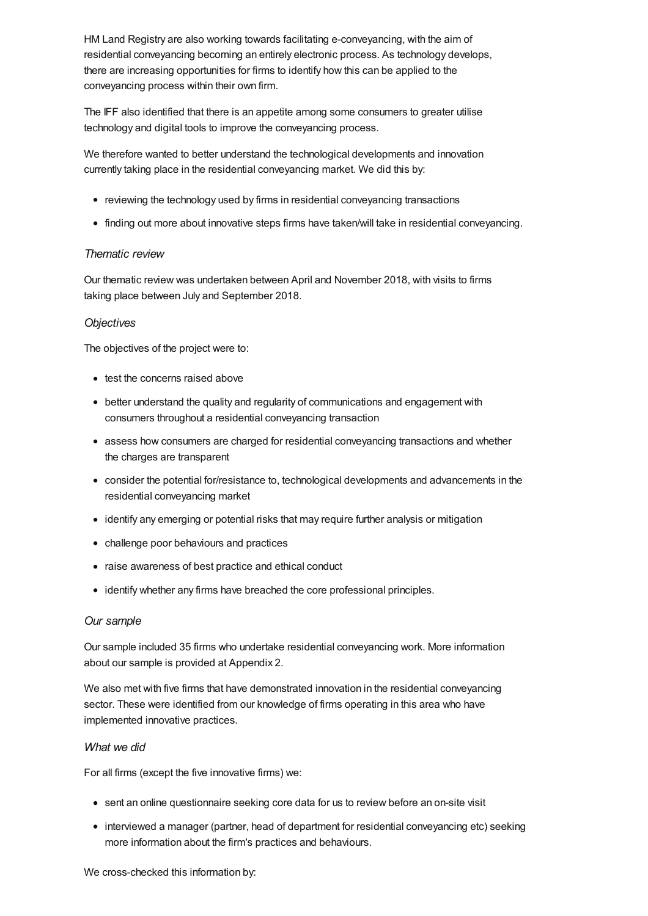HM Land Registry are also working towards facilitating e-conveyancing, with the aim of residential conveyancing becoming an entirely electronic process. As technology develops, there are increasing opportunities for firms to identify how this can be applied to the conveyancing process within their own firm.

The IFF also identified that there is an appetite among some consumers to greater utilise technology and digital tools to improve the conveyancing process.

We therefore wanted to better understand the technological developments and innovation currently taking place in the residential conveyancing market. We did this by:

- reviewing the technology used by firms in residential conveyancing transactions
- finding out more about innovative steps firms have taken/will take in residential conveyancing.

## *Thematic review*

Our thematic review was undertaken between April and November 2018, with visits to firms taking place between July and September 2018.

## *Objectives*

The objectives of the project were to:

- test the concerns raised above
- better understand the quality and regularity of communications and engagement with consumers throughout a residential conveyancing transaction
- assess how consumers are charged for residential conveyancing transactions and whether the charges are transparent
- consider the potential for/resistance to, technological developments and advancements in the residential conveyancing market
- identify any emerging or potential risks that may require further analysis or mitigation
- challenge poor behaviours and practices
- raise awareness of best practice and ethical conduct
- identify whether any firms have breached the core professional principles.

## *Our sample*

Our sample included 35 firms who undertake residential conveyancing work. More information about our sample is provided at Appendix 2.

We also met with five firms that have demonstrated innovation in the residential conveyancing sector. These were identified from our knowledge of firms operating in this area who have implemented innovative practices.

## *What we did*

For all firms (except the five innovative firms) we:

- sent an online questionnaire seeking core data for us to review before an on-site visit
- interviewed a manager (partner, head of department for residential conveyancing etc) seeking more information about the firm's practices and behaviours.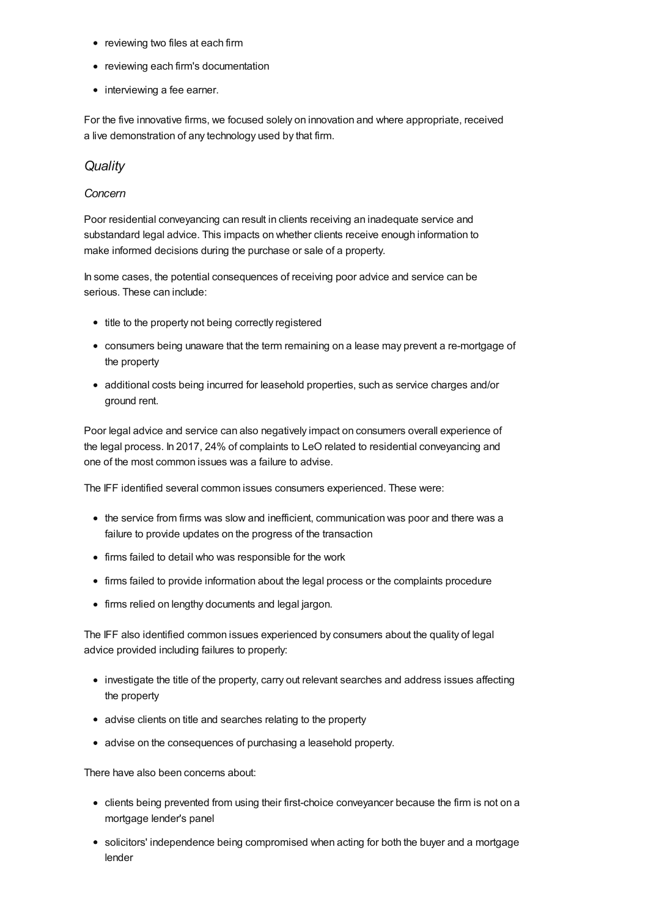- reviewing two files at each firm
- reviewing each firm's documentation
- interviewing a fee earner.

For the five innovative firms, we focused solely on innovation and where appropriate, received a live demonstration of any technology used by that firm.

# *[Quality](#page-12-0)*

## *Concern*

Poor residential conveyancing can result in clients receiving an inadequate service and substandard legal advice. This impacts on whether clients receive enough information to make informed decisions during the purchase or sale of a property.

In some cases, the potential consequences of receiving poor advice and service can be serious. These can include:

- title to the property not being correctly registered
- consumers being unaware that the term remaining on a lease may prevent a re-mortgage of the property
- additional costs being incurred for leasehold properties, such as service charges and/or ground rent.

Poor legal advice and service can also negatively impact on consumers overall experience of the legal process. In 2017, 24% of complaints to LeO related to residential conveyancing and one of the most common issues was a failure to advise.

The IFF identified several common issues consumers experienced. These were:

- the service from firms was slow and inefficient, communication was poor and there was a failure to provide updates on the progress of the transaction
- firms failed to detail who was responsible for the work
- firms failed to provide information about the legal process or the complaints procedure
- firms relied on lengthy documents and legal jargon.

The IFF also identified common issues experienced by consumers about the quality of legal advice provided including failures to properly:

- investigate the title of the property, carry out relevant searches and address issues affecting the property
- advise clients on title and searches relating to the property
- advise on the consequences of purchasing a leasehold property.

There have also been concerns about:

- clients being prevented from using their first-choice conveyancer because the firm is not on a mortgage lender's panel
- solicitors' independence being compromised when acting for both the buyer and a mortgage lender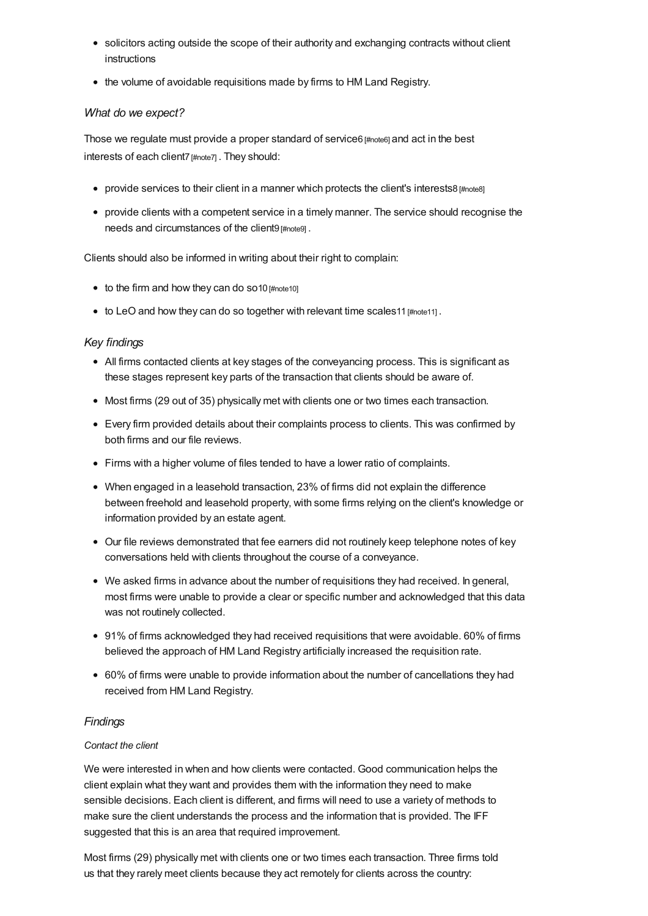- solicitors acting outside the scope of their authority and exchanging contracts without client instructions
- the volume of avoidable requisitions made by firms to HM Land Registry.

## *What do we expect?*

Those we regulate must provide a proper standard of service6 [\[#note6\]](#page-37-5) and act in the best interests of each client7 [\[#note7\]](#page-37-6). They should:

- provide services to their client in a manner which protects the client's interests8  $\sharp$  mote8]
- provide clients with a competent service in a timely manner. The service should recognise the needs and circumstances of the client9 [\[#note9\]](#page-37-8) .

Clients should also be informed in writing about their right to complain:

- $\bullet$  to the firm and how they can do so10 [\[#note10\]](#page-37-9)
- to LeO and how they can do so together with relevant time scales 11 [#note11].

## *Key findings*

- All firms contacted clients at key stages of the conveyancing process. This is significant as these stages represent key parts of the transaction that clients should be aware of.
- Most firms (29 out of 35) physically met with clients one or two times each transaction.
- Every firm provided details about their complaints process to clients. This was confirmed by both firms and our file reviews.
- Firms with a higher volume of files tended to have a lower ratio of complaints.
- When engaged in a leasehold transaction, 23% of firms did not explain the difference between freehold and leasehold property, with some firms relying on the client's knowledge or information provided by an estate agent.
- Our file reviews demonstrated that fee earners did not routinely keep telephone notes of key conversations held with clients throughout the course of a conveyance.
- We asked firms in advance about the number of requisitions they had received. In general, most firms were unable to provide a clear or specific number and acknowledged that this data was not routinely collected.
- 91% of firms acknowledged they had received requisitions that were avoidable. 60% of firms believed the approach of HM Land Registry artificially increased the requisition rate.
- 60% of firms were unable to provide information about the number of cancellations they had received from HM Land Registry.

## *Findings*

#### *Contact the client*

We were interested in when and how clients were contacted. Good communication helps the client explain what they want and provides them with the information they need to make sensible decisions. Each client is different, and firms will need to use a variety of methods to make sure the client understands the process and the information that is provided. The IFF suggested that this is an area that required improvement.

Most firms (29) physically met with clients one or two times each transaction. Three firms told us that they rarely meet clients because they act remotely for clients across the country: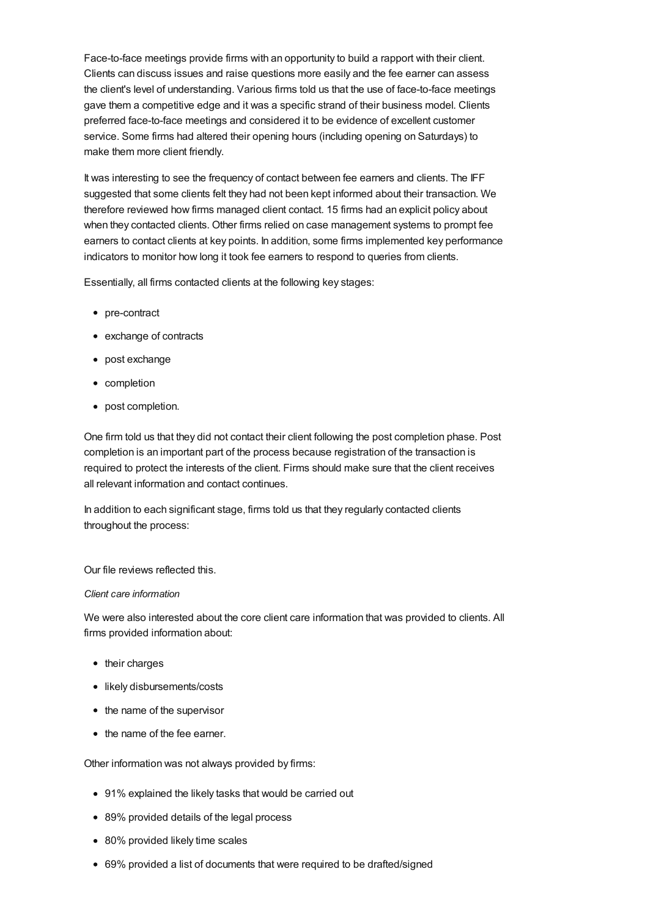Face-to-face meetings provide firms with an opportunity to build a rapport with their client. Clients can discuss issues and raise questions more easily and the fee earner can assess the client's level of understanding. Various firms told us that the use of face-to-face meetings gave them a competitive edge and it was a specific strand of their business model. Clients preferred face-to-face meetings and considered it to be evidence of excellent customer service. Some firms had altered their opening hours (including opening on Saturdays) to make them more client friendly.

It was interesting to see the frequency of contact between fee earners and clients. The IFF suggested that some clients felt they had not been kept informed about their transaction. We therefore reviewed how firms managed client contact. 15 firms had an explicit policy about when they contacted clients. Other firms relied on case management systems to prompt fee earners to contact clients at key points. In addition, some firms implemented key performance indicators to monitor how long it took fee earners to respond to queries from clients.

Essentially, all firms contacted clients at the following key stages:

- pre-contract
- exchange of contracts
- post exchange
- completion
- post completion.

One firm told us that they did not contact their client following the post completion phase. Post completion is an important part of the process because registration of the transaction is required to protect the interests of the client. Firms should make sure that the client receives all relevant information and contact continues.

In addition to each significant stage, firms told us that they regularly contacted clients throughout the process:

Our file reviews reflected this.

#### *Client care information*

We were also interested about the core client care information that was provided to clients. All firms provided information about:

- their charges
- likely disbursements/costs
- the name of the supervisor
- the name of the fee earner.

Other information was not always provided by firms:

- 91% explained the likely tasks that would be carried out
- 89% provided details of the legal process
- 80% provided likely time scales
- 69% provided a list of documents that were required to be drafted/signed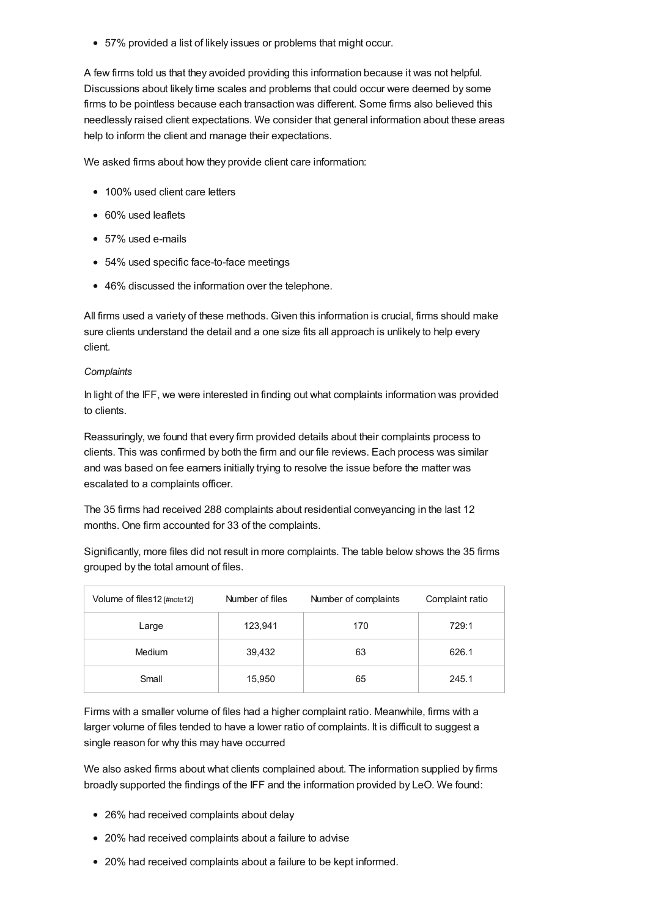57% provided a list of likely issues or problems that might occur.

A few firms told us that they avoided providing this information because it was not helpful. Discussions about likely time scales and problems that could occur were deemed by some firms to be pointless because each transaction was different. Some firms also believed this needlessly raised client expectations. We consider that general information about these areas help to inform the client and manage their expectations.

We asked firms about how they provide client care information:

- 100% used client care letters
- 60% used leaflets
- 57% used e-mails
- 54% used specific face-to-face meetings
- 46% discussed the information over the telephone.

All firms used a variety of these methods. Given this information is crucial, firms should make sure clients understand the detail and a one size fits all approach is unlikely to help every client.

#### *Complaints*

In light of the IFF, we were interested in finding out what complaints information was provided to clients.

Reassuringly, we found that every firm provided details about their complaints process to clients. This was confirmed by both the firm and our file reviews. Each process was similar and was based on fee earners initially trying to resolve the issue before the matter was escalated to a complaints officer.

The 35 firms had received 288 complaints about residential conveyancing in the last 12 months. One firm accounted for 33 of the complaints.

Significantly, more files did not result in more complaints. The table below shows the 35 firms grouped by the total amount of files.

| Volume of files12 [#note12] | Number of files | Number of complaints | Complaint ratio |
|-----------------------------|-----------------|----------------------|-----------------|
| Large                       | 123,941         | 170                  | 729:1           |
| Medium                      | 39,432          | 63                   | 626.1           |
| Small                       | 15,950          | 65                   | 245.1           |

Firms with a smaller volume of files had a higher complaint ratio. Meanwhile, firms with a larger volume of files tended to have a lower ratio of complaints. It is difficult to suggest a single reason for why this may have occurred

We also asked firms about what clients complained about. The information supplied by firms broadly supported the findings of the IFF and the information provided by LeO. We found:

- 26% had received complaints about delay
- 20% had received complaints about a failure to advise
- 20% had received complaints about a failure to be kept informed.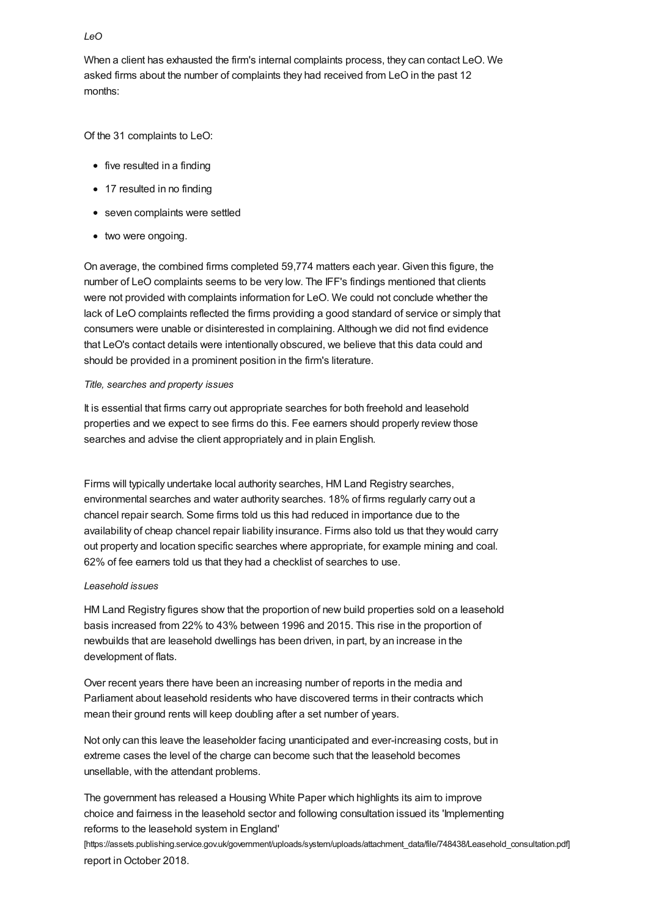## *LeO*

When a client has exhausted the firm's internal complaints process, they can contact LeO. We asked firms about the number of complaints they had received from LeO in the past 12 months:

Of the 31 complaints to LeO:

- five resulted in a finding
- 17 resulted in no finding
- seven complaints were settled
- two were ongoing.

On average, the combined firms completed 59,774 matters each year. Given this figure, the number of LeO complaints seems to be very low. The IFF's findings mentioned that clients were not provided with complaints information for LeO. We could not conclude whether the lack of LeO complaints reflected the firms providing a good standard of service or simply that consumers were unable or disinterested in complaining. Although we did not find evidence that LeO's contact details were intentionally obscured, we believe that this data could and should be provided in a prominent position in the firm's literature.

## *Title, searches and property issues*

It is essential that firms carry out appropriate searches for both freehold and leasehold properties and we expect to see firms do this. Fee earners should properly review those searches and advise the client appropriately and in plain English.

Firms will typically undertake local authority searches, HM Land Registry searches, environmental searches and water authority searches. 18% of firms regularly carry out a chancel repair search. Some firms told us this had reduced in importance due to the availability of cheap chancel repair liability insurance. Firms also told us that they would carry out property and location specific searches where appropriate, for example mining and coal. 62% of fee earners told us that they had a checklist of searches to use.

## *Leasehold issues*

HM Land Registry figures show that the proportion of new build properties sold on a leasehold basis increased from 22% to 43% between 1996 and 2015. This rise in the proportion of newbuilds that are leasehold dwellings has been driven, in part, by an increase in the development of flats.

Over recent years there have been an increasing number of reports in the media and Parliament about leasehold residents who have discovered terms in their contracts which mean their ground rents will keep doubling after a set number of years.

Not only can this leave the leaseholder facing unanticipated and ever-increasing costs, but in extreme cases the level of the charge can become such that the leasehold becomes unsellable, with the attendant problems.

The government has released a Housing White Paper which highlights its aim to improve choice and fairness in the leasehold sector and following consultation issued its 'Implementing reforms to the leasehold system in England'

[\[https://assets.publishing.service.gov.uk/government/uploads/system/uploads/attachment\\_data/file/748438/Leasehold\\_consultation.pdf\]](https://assets.publishing.service.gov.uk/government/uploads/system/uploads/attachment_data/file/748438/Leasehold_consultation.pdf) report in October 2018.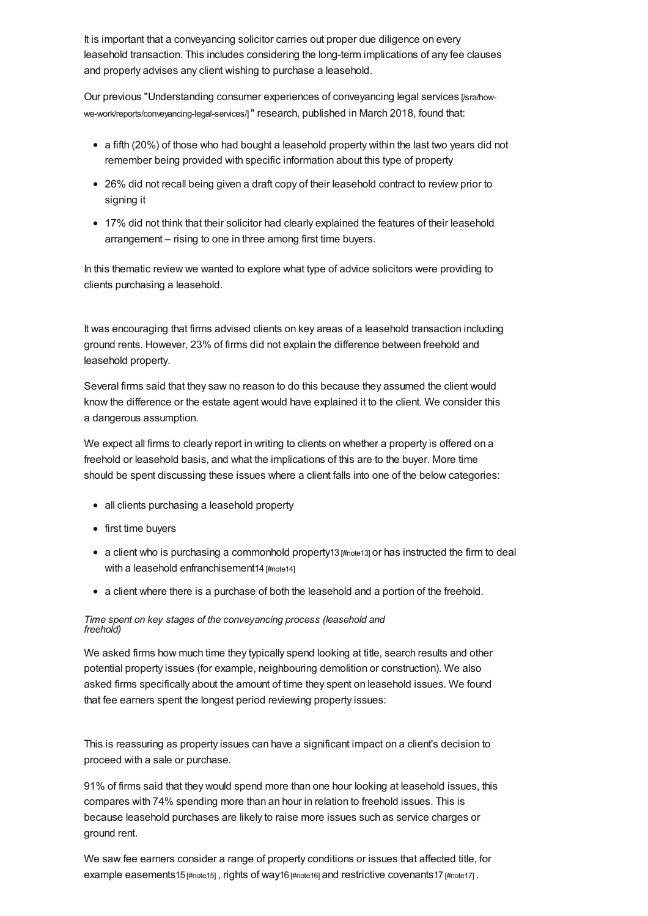<span id="page-12-0"></span>It is important that a conveyancing solicitor carries out proper due diligence on every leasehold transaction. This includes considering the long-term implications of any fee clauses and properly advises any client wishing to purchase a leasehold.

Our previous "Understanding consumer experiences of conveyancing legal services [/sra/how[we-work/reports/conveyancing-legal-services/\]](https://www.sra.org.uk/sra/how-we-work/reports/conveyancing-legal-services/)" research, published in March 2018, found that:

- a fifth (20%) of those who had bought a leasehold property within the last two years did not remember being provided with specific information about this type of property
- 26% did not recall being given a draft copy of their leasehold contract to review prior to signing it
- 17% did not think that their solicitor had clearly explained the features of their leasehold arrangement – rising to one in three among first time buyers.

In this thematic review we wanted to explore what type of advice solicitors were providing to clients purchasing a leasehold.

It was encouraging that firms advised clients on key areas of a leasehold transaction including ground rents. However, 23% of firms did not explain the difference between freehold and leasehold property.

Several firms said that they saw no reason to do this because they assumed the client would know the difference or the estate agent would have explained it to the client. We consider this a dangerous assumption.

We expect all firms to clearly report in writing to clients on whether a property is offered on a freehold or leasehold basis, and what the implications of this are to the buyer. More time should be spent discussing these issues where a client falls into one of the below categories:

- all clients purchasing a leasehold property
- first time buyers
- a client who is purchasing a commonhold property13 [\[#note13\]](#page-38-1) or has instructed the firm to deal with a leasehold enfranchisement14 [\[#note14\]](#page-38-2)
- a client where there is a purchase of both the leasehold and a portion of the freehold.

#### *Time spent on key stages of the conveyancing process (leasehold and freehold)*

We asked firms how much time they typically spend looking at title, search results and other potential property issues (for example, neighbouring demolition or construction). We also asked firms specifically about the amount of time they spent on leasehold issues. We found that fee earners spent the longest period reviewing property issues:

This is reassuring as property issues can have a significant impact on a client's decision to proceed with a sale or purchase.

91% of firms said that they would spend more than one hour looking at leasehold issues, this compares with 74% spending more than an hour in relation to freehold issues. This is because leasehold purchases are likely to raise more issues such as service charges or ground rent.

We saw fee earners consider a range of property conditions or issues that affected title, for example easements15 [\[#note15\]](#page-38-3), rights of way16 [\[#note16\]](#page-38-4) and restrictive covenants17 [\[#note17\]](#page-38-5).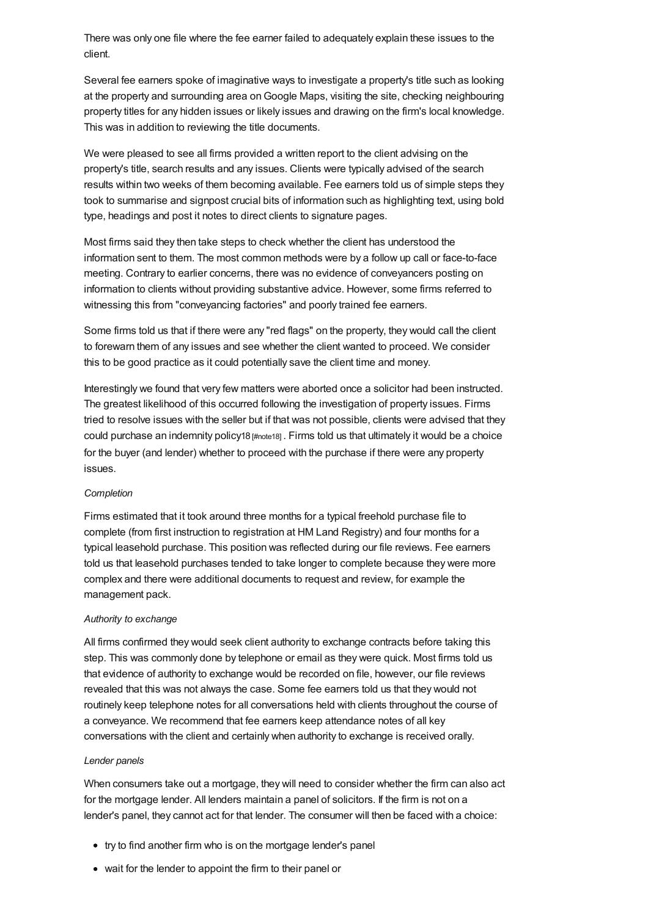There was only one file where the fee earner failed to adequately explain these issues to the client.

Several fee earners spoke of imaginative ways to investigate a property's title such as looking at the property and surrounding area onGoogle Maps, visiting the site, checking neighbouring property titles for any hidden issues or likely issues and drawing on the firm's local knowledge. This was in addition to reviewing the title documents.

We were pleased to see all firms provided a written report to the client advising on the property's title, search results and any issues. Clients were typically advised of the search results within two weeks of them becoming available. Fee earners told us of simple steps they took to summarise and signpost crucial bits of information such as highlighting text, using bold type, headings and post it notes to direct clients to signature pages.

Most firms said they then take steps to check whether the client has understood the information sent to them. The most common methods were by a follow up call or face-to-face meeting. Contrary to earlier concerns, there was no evidence of conveyancers posting on information to clients without providing substantive advice. However, some firms referred to witnessing this from "conveyancing factories" and poorly trained fee earners.

Some firms told us that if there were any "red flags" on the property, they would call the client to forewarn them of any issues and see whether the client wanted to proceed. We consider this to be good practice as it could potentially save the client time and money.

Interestingly we found that very few matters were aborted once a solicitor had been instructed. The greatest likelihood of this occurred following the investigation of property issues. Firms tried to resolve issues with the seller but if that was not possible, clients were advised that they could purchase an indemnity policy18 [\[#note18\]](#page-38-6) . Firms told us that ultimately it would be a choice for the buyer (and lender) whether to proceed with the purchase if there were any property issues.

#### *Completion*

Firms estimated that it took around three months for a typical freehold purchase file to complete (from first instruction to registration at HM Land Registry) and four months for a typical leasehold purchase. This position was reflected during our file reviews. Fee earners told us that leasehold purchases tended to take longer to complete because they were more complex and there were additional documents to request and review, for example the management pack.

#### *Authority to exchange*

All firms confirmed they would seek client authority to exchange contracts before taking this step. This was commonly done by telephone or email as they were quick. Most firms told us that evidence of authority to exchange would be recorded on file, however, our file reviews revealed that this was not always the case. Some fee earners told us that they would not routinely keep telephone notes for all conversations held with clients throughout the course of a conveyance. We recommend that fee earners keep attendance notes of all key conversations with the client and certainly when authority to exchange is received orally.

#### *Lender panels*

When consumers take out a mortgage, they will need to consider whether the firm can also act for the mortgage lender. All lenders maintain a panel of solicitors. If the firm is not on a lender's panel, they cannot act for that lender. The consumer will then be faced with a choice:

- try to find another firm who is on the mortgage lender's panel
- wait for the lender to appoint the firm to their panel or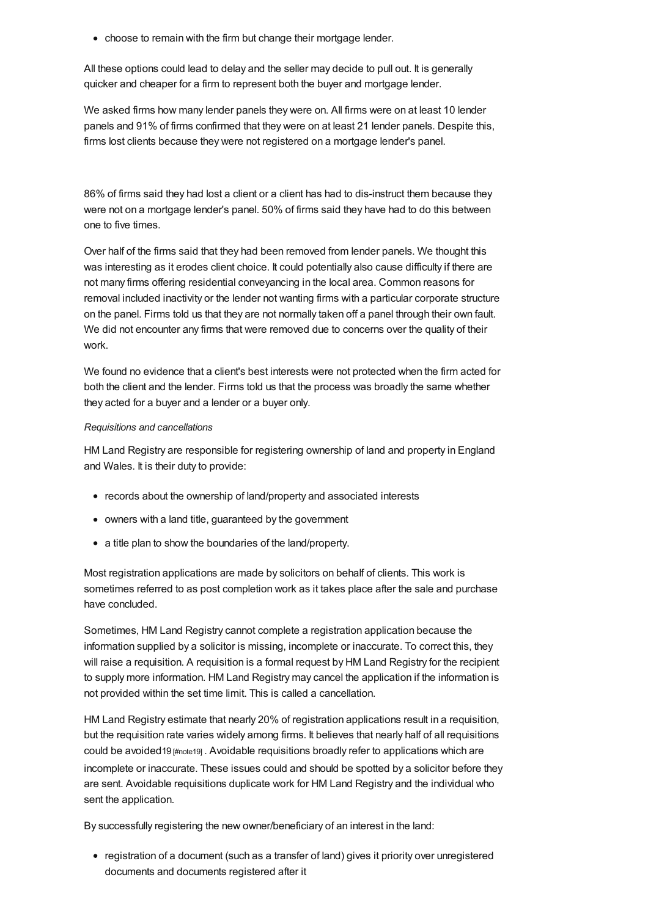• choose to remain with the firm but change their mortgage lender.

All these options could lead to delay and the seller may decide to pull out. It is generally quicker and cheaper for a firm to represent both the buyer and mortgage lender.

We asked firms how many lender panels they were on. All firms were on at least 10 lender panels and 91% of firms confirmed that they were on at least 21 lender panels. Despite this, firms lost clients because they were not registered on a mortgage lender's panel.

86% of firms said they had lost a client or a client has had to dis-instruct them because they were not on a mortgage lender's panel. 50% of firms said they have had to do this between one to five times.

Over half of the firms said that they had been removed from lender panels. We thought this was interesting as it erodes client choice. It could potentially also cause difficulty if there are not many firms offering residential conveyancing in the local area. Common reasons for removal included inactivity or the lender not wanting firms with a particular corporate structure on the panel. Firms told us that they are not normally taken off a panel through their own fault. We did not encounter any firms that were removed due to concerns over the quality of their work.

We found no evidence that a client's best interests were not protected when the firm acted for both the client and the lender. Firms told us that the process was broadly the same whether they acted for a buyer and a lender or a buyer only.

#### *Requisitions and cancellations*

HM Land Registry are responsible for registering ownership of land and property in England and Wales. It is their duty to provide:

- records about the ownership of land/property and associated interests
- owners with a land title, guaranteed by the government
- a title plan to show the boundaries of the land/property.

Most registration applications are made by solicitors on behalf of clients. This work is sometimes referred to as post completion work as it takes place after the sale and purchase have concluded.

Sometimes, HM Land Registry cannot complete a registration application because the information supplied by a solicitor is missing, incomplete or inaccurate. To correct this, they will raise a requisition. A requisition is a formal request by HM Land Registry for the recipient to supply more information. HM Land Registry may cancel the application if the information is not provided within the set time limit. This is called a cancellation.

HM Land Registry estimate that nearly 20% of registration applications result in a requisition, but the requisition rate varies widely among firms. It believes that nearly half of all requisitions could be avoided19 [\[#note19\]](#page-38-7) . Avoidable requisitions broadly refer to applications which are incomplete or inaccurate. These issues could and should be spotted by a solicitor before they are sent. Avoidable requisitions duplicate work for HM Land Registry and the individual who sent the application.

By successfully registering the new owner/beneficiary of an interest in the land:

• registration of a document (such as a transfer of land) gives it priority over unregistered documents and documents registered after it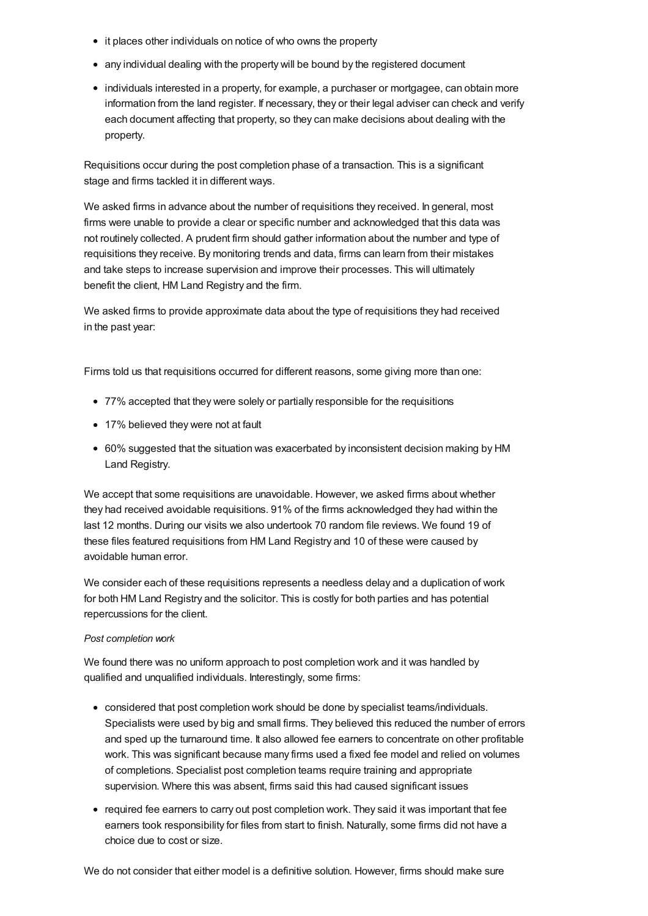- it places other individuals on notice of who owns the property
- any individual dealing with the property will be bound by the registered document
- individuals interested in a property, for example, a purchaser or mortgagee, can obtain more information from the land register. If necessary, they or their legal adviser can check and verify each document affecting that property, so they can make decisions about dealing with the property.

Requisitions occur during the post completion phase of a transaction. This is a significant stage and firms tackled it in different ways.

We asked firms in advance about the number of requisitions they received. In general, most firms were unable to provide a clear or specific number and acknowledged that this data was not routinely collected. A prudent firm should gather information about the number and type of requisitions they receive. By monitoring trends and data, firms can learn from their mistakes and take steps to increase supervision and improve their processes. This will ultimately benefit the client, HM Land Registry and the firm.

We asked firms to provide approximate data about the type of requisitions they had received in the past year:

Firms told us that requisitions occurred for different reasons, some giving more than one:

- 77% accepted that they were solely or partially responsible for the requisitions
- 17% believed they were not at fault
- 60% suggested that the situation was exacerbated by inconsistent decision making by HM Land Registry.

We accept that some requisitions are unavoidable. However, we asked firms about whether they had received avoidable requisitions. 91% of the firms acknowledged they had within the last 12 months. During our visits we also undertook 70 random file reviews. We found 19 of these files featured requisitions from HM Land Registry and 10 of these were caused by avoidable human error.

We consider each of these requisitions represents a needless delay and a duplication of work for both HM Land Registry and the solicitor. This is costly for both parties and has potential repercussions for the client.

#### *Post completion work*

We found there was no uniform approach to post completion work and it was handled by qualified and unqualified individuals. Interestingly, some firms:

- considered that post completion work should be done by specialist teams/individuals. Specialists were used by big and small firms. They believed this reduced the number of errors and sped up the turnaround time. It also allowed fee earners to concentrate on other profitable work. This was significant because many firms used a fixed fee model and relied on volumes of completions. Specialist post completion teams require training and appropriate supervision. Where this was absent, firms said this had caused significant issues
- required fee earners to carry out post completion work. They said it was important that fee earners took responsibility for files from start to finish. Naturally, some firms did not have a choice due to cost or size.

We do not consider that either model is a definitive solution. However, firms should make sure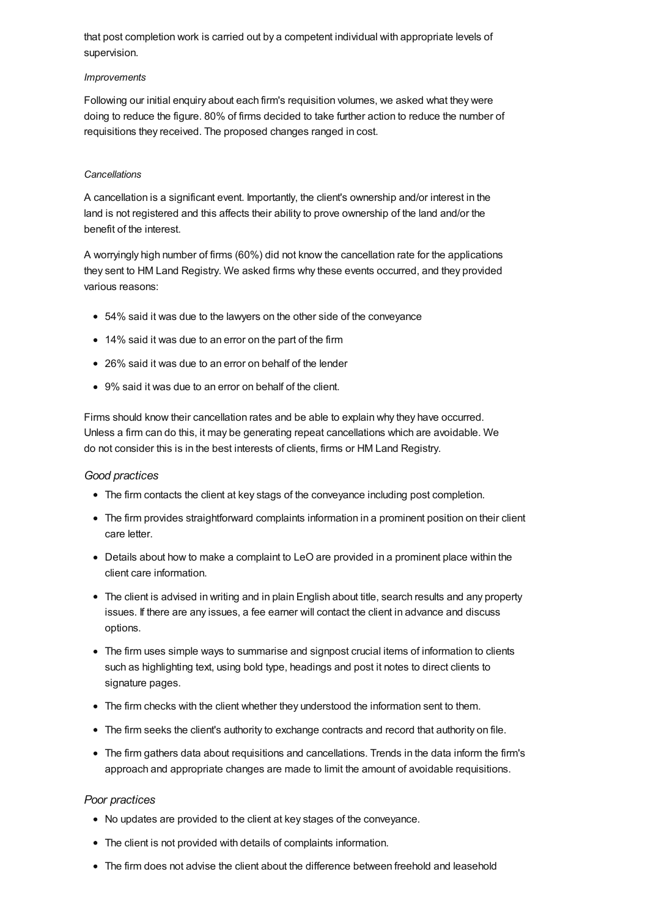that post completion work is carried out by a competent individual with appropriate levels of supervision.

#### *Improvements*

Following our initial enquiry about each firm's requisition volumes, we asked what they were doing to reduce the figure. 80% of firms decided to take further action to reduce the number of requisitions they received. The proposed changes ranged in cost.

#### *Cancellations*

A cancellation is a significant event. Importantly, the client's ownership and/or interest in the land is not registered and this affects their ability to prove ownership of the land and/or the benefit of the interest.

A worryingly high number of firms (60%) did not know the cancellation rate for the applications they sent to HM Land Registry. We asked firms why these events occurred, and they provided various reasons:

- 54% said it was due to the lawyers on the other side of the conveyance
- 14% said it was due to an error on the part of the firm
- 26% said it was due to an error on behalf of the lender
- 9% said it was due to an error on behalf of the client.

Firms should know their cancellation rates and be able to explain why they have occurred. Unless a firm can do this, it may be generating repeat cancellations which are avoidable. We do not consider this is in the best interests of clients, firms or HM Land Registry.

#### *Good practices*

- The firm contacts the client at key stags of the conveyance including post completion.
- The firm provides straightforward complaints information in a prominent position on their client care letter.
- Details about how to make a complaint to LeO are provided in a prominent place within the client care information.
- The client is advised in writing and in plain English about title, search results and any property issues. If there are any issues, a fee earner will contact the client in advance and discuss options.
- The firm uses simple ways to summarise and signpost crucial items of information to clients such as highlighting text, using bold type, headings and post it notes to direct clients to signature pages.
- The firm checks with the client whether they understood the information sent to them.
- The firm seeks the client's authority to exchange contracts and record that authority on file.
- The firm gathers data about requisitions and cancellations. Trends in the data inform the firm's approach and appropriate changes are made to limit the amount of avoidable requisitions.

#### *Poor practices*

- No updates are provided to the client at key stages of the conveyance.
- The client is not provided with details of complaints information.
- The firm does not advise the client about the difference between freehold and leasehold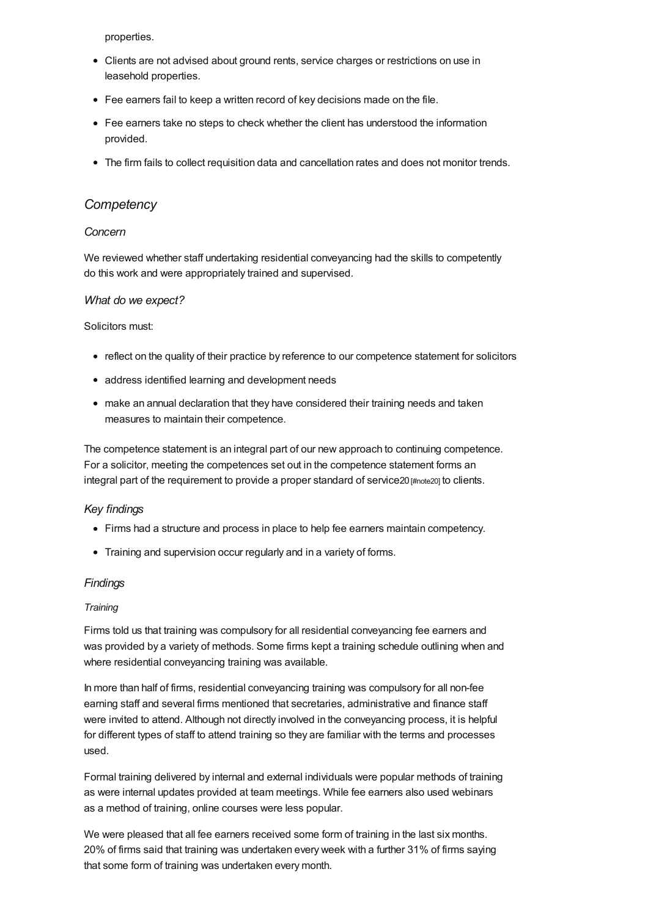properties.

- Clients are not advised about ground rents, service charges or restrictions on use in leasehold properties.
- Fee earners fail to keep a written record of key decisions made on the file.
- Fee earners take no steps to check whether the client has understood the information provided.
- The firm fails to collect requisition data and cancellation rates and does not monitor trends.

## *[Competency](#page-17-0)*

## <span id="page-17-0"></span>*Concern*

We reviewed whether staff undertaking residential conveyancing had the skills to competently do this work and were appropriately trained and supervised.

#### *What do we expect?*

#### Solicitors must:

- reflect on the quality of their practice by reference to our competence statement for solicitors
- address identified learning and development needs
- make an annual declaration that they have considered their training needs and taken measures to maintain their competence.

The competence statement is an integral part of our new approach to continuing competence. For a solicitor, meeting the competences set out in the competence statement forms an integral part of the requirement to provide a proper standard of service20 [\[#note20\]](#page-38-8) to clients.

#### *Key findings*

- Firms had a structure and process in place to help fee earners maintain competency.
- Training and supervision occur regularly and in a variety of forms.

#### *Findings*

#### *Training*

Firms told us that training was compulsory for all residential conveyancing fee earners and was provided by a variety of methods. Some firms kept a training schedule outlining when and where residential conveyancing training was available.

In more than half of firms, residential conveyancing training was compulsory for all non-fee earning staff and several firms mentioned that secretaries, administrative and finance staff were invited to attend. Although not directly involved in the conveyancing process, it is helpful for different types of staff to attend training so they are familiar with the terms and processes used.

Formal training delivered by internal and external individuals were popular methods of training as were internal updates provided at team meetings. While fee earners also used webinars as a method of training, online courses were less popular.

We were pleased that all fee earners received some form of training in the last six months. 20% of firms said that training was undertaken every week with a further 31% of firms saying that some form of training was undertaken every month.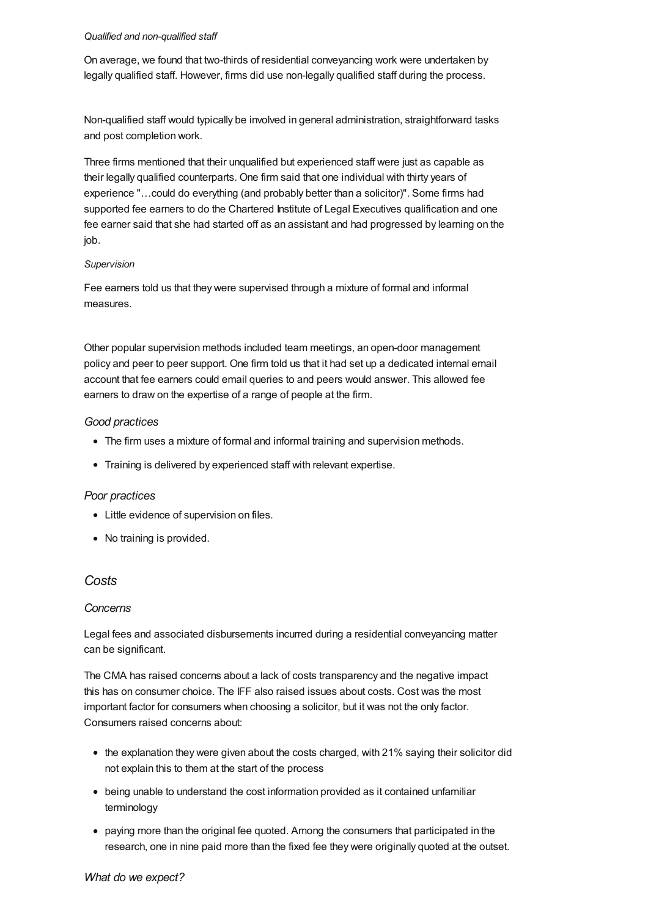#### *Qualified and non-qualified staff*

On average, we found that two-thirds of residential conveyancing work were undertaken by legally qualified staff. However, firms did use non-legally qualified staff during the process.

Non-qualified staff would typically be involved in general administration, straightforward tasks and post completion work.

Three firms mentioned that their unqualified but experienced staff were just as capable as their legally qualified counterparts. One firm said that one individual with thirty years of experience "…could do everything (and probably better than a solicitor)". Some firms had supported fee earners to do the Chartered Institute of Legal Executives qualification and one fee earner said that she had started off as an assistant and had progressed by learning on the job.

## *Supervision*

Fee earners told us that they were supervised through a mixture of formal and informal measures.

Other popular supervision methods included team meetings, an open-door management policy and peer to peer support. One firm told us that it had set up a dedicated internal email account that fee earners could email queries to and peers would answer. This allowed fee earners to draw on the expertise of a range of people at the firm.

## *Good practices*

- The firm uses a mixture of formal and informal training and supervision methods.
- Training is delivered by experienced staff with relevant expertise.

## *Poor practices*

- Little evidence of supervision on files.
- No training is provided.

# *[Costs](#page-22-0)*

## *Concerns*

Legal fees and associated disbursements incurred during a residential conveyancing matter can be significant.

The CMA has raised concerns about a lack of costs transparency and the negative impact this has on consumer choice. The IFF also raised issues about costs. Cost was the most important factor for consumers when choosing a solicitor, but it was not the only factor. Consumers raised concerns about:

- the explanation they were given about the costs charged, with 21% saying their solicitor did not explain this to them at the start of the process
- being unable to understand the cost information provided as it contained unfamiliar terminology
- paying more than the original fee quoted. Among the consumers that participated in the research, one in nine paid more than the fixed fee they were originally quoted at the outset.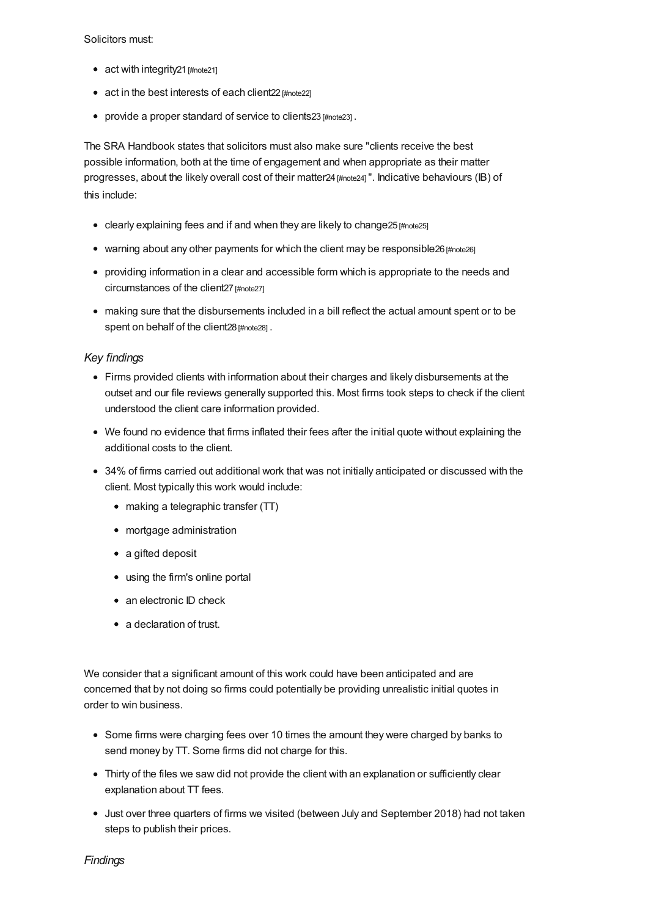Solicitors must:

- act with integrity21 [\[#note21\]](#page-38-9)
- act in the best interests of each client22 [\[#note22\]](#page-38-10)
- provide a proper standard of service to clients23 [\[#note23\]](#page-38-11).

The SRA Handbook states that solicitors must also make sure "clients receive the best possible information, both at the time of engagement and when appropriate as their matter progresses, about the likely overall cost of their matter24 [\[#note24\]](#page-38-12)". Indicative behaviours (IB) of this include:

- clearly explaining fees and if and when they are likely to change25 [\[#note25\]](#page-38-13)
- warning about any other payments for which the client may be responsible26 [\[#note26\]](#page-38-14)
- providing information in a clear and accessible form which is appropriate to the needs and circumstances of the client27 [\[#note27\]](#page-38-15)
- making sure that the disbursements included in a bill reflect the actual amount spent or to be spent on behalf of the client28 [\[#note28\]](#page-38-16).

## *Key findings*

- Firms provided clients with information about their charges and likely disbursements at the outset and our file reviews generally supported this. Most firms took steps to check if the client understood the client care information provided.
- We found no evidence that firms inflated their fees after the initial quote without explaining the additional costs to the client.
- 34% of firms carried out additional work that was not initially anticipated or discussed with the client. Most typically this work would include:
	- making a telegraphic transfer (TT)
	- mortgage administration
	- a gifted deposit
	- using the firm's online portal
	- an electronic ID check
	- a declaration of trust.

We consider that a significant amount of this work could have been anticipated and are concerned that by not doing so firms could potentially be providing unrealistic initial quotes in order to win business.

- Some firms were charging fees over 10 times the amount they were charged by banks to send money by TT. Some firms did not charge for this.
- Thirty of the files we saw did not provide the client with an explanation or sufficiently clear explanation about TT fees.
- Just over three quarters of firms we visited (between July and September 2018) had not taken steps to publish their prices.

*Findings*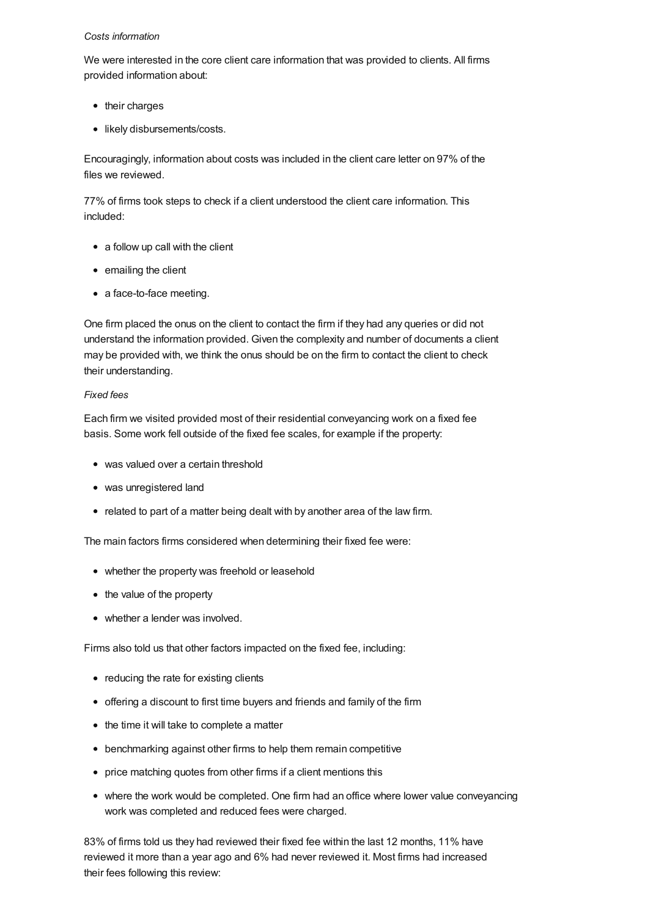#### *Costs information*

We were interested in the core client care information that was provided to clients. All firms provided information about:

- their charges
- likely disbursements/costs.

Encouragingly, information about costs was included in the client care letter on 97% of the files we reviewed.

77% of firms took steps to check if a client understood the client care information. This included:

- a follow up call with the client
- emailing the client
- a face-to-face meeting.

One firm placed the onus on the client to contact the firm if they had any queries or did not understand the information provided. Given the complexity and number of documents a client may be provided with, we think the onus should be on the firm to contact the client to check their understanding.

## *Fixed fees*

Each firm we visited provided most of their residential conveyancing work on a fixed fee basis. Some work fell outside of the fixed fee scales, for example if the property:

- was valued over a certain threshold
- was unregistered land
- related to part of a matter being dealt with by another area of the law firm.

The main factors firms considered when determining their fixed fee were:

- whether the property was freehold or leasehold
- the value of the property
- whether a lender was involved.

Firms also told us that other factors impacted on the fixed fee, including:

- reducing the rate for existing clients
- offering a discount to first time buyers and friends and family of the firm
- the time it will take to complete a matter
- benchmarking against other firms to help them remain competitive
- price matching quotes from other firms if a client mentions this
- where the work would be completed. One firm had an office where lower value conveyancing work was completed and reduced fees were charged.

83% of firms told us they had reviewed their fixed fee within the last 12 months, 11% have reviewed it more than a year ago and 6% had never reviewed it. Most firms had increased their fees following this review: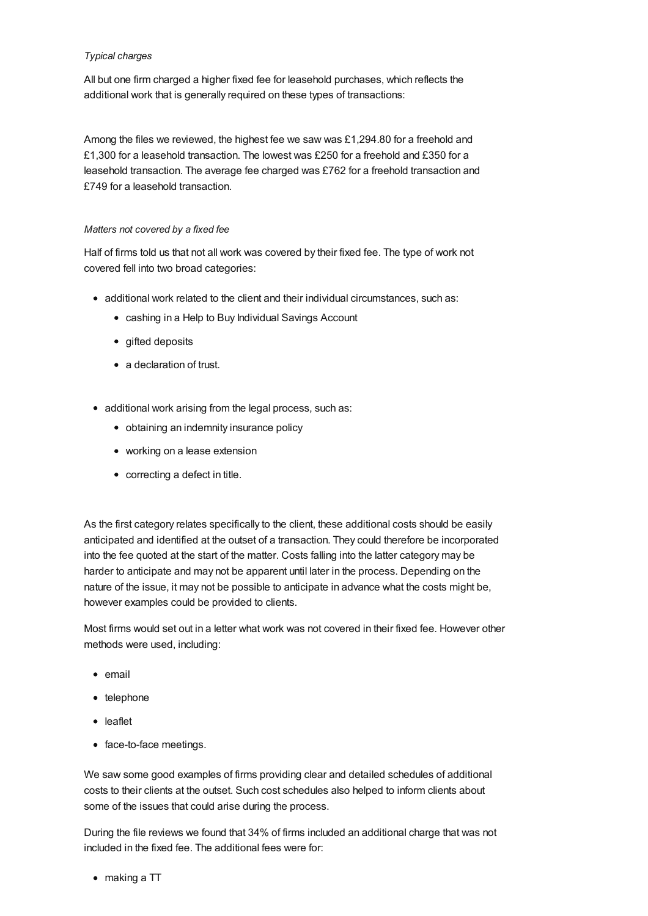#### *Typical charges*

All but one firm charged a higher fixed fee for leasehold purchases, which reflects the additional work that is generally required on these types of transactions:

Among the files we reviewed, the highest fee we saw was £1,294.80 for a freehold and £1,300 for a leasehold transaction. The lowest was £250 for a freehold and £350 for a leasehold transaction. The average fee charged was £762 for a freehold transaction and £749 for a leasehold transaction.

#### *Matters not covered by a fixed fee*

Half of firms told us that not all work was covered by their fixed fee. The type of work not covered fell into two broad categories:

- additional work related to the client and their individual circumstances, such as:
	- cashing in a Help to Buy Individual Savings Account
	- gifted deposits
	- a declaration of trust.
- additional work arising from the legal process, such as:
	- obtaining an indemnity insurance policy
	- working on a lease extension
	- correcting a defect in title.

As the first category relates specifically to the client, these additional costs should be easily anticipated and identified at the outset of a transaction. They could therefore be incorporated into the fee quoted at the start of the matter. Costs falling into the latter category may be harder to anticipate and may not be apparent until later in the process. Depending on the nature of the issue, it may not be possible to anticipate in advance what the costs might be, however examples could be provided to clients.

Most firms would set out in a letter what work was not covered in their fixed fee. However other methods were used, including:

- email
- $\bullet$  telephone
- leaflet
- face-to-face meetings.

We saw some good examples of firms providing clear and detailed schedules of additional costs to their clients at the outset. Such cost schedules also helped to inform clients about some of the issues that could arise during the process.

During the file reviews we found that 34% of firms included an additional charge that was not included in the fixed fee. The additional fees were for:

making a TT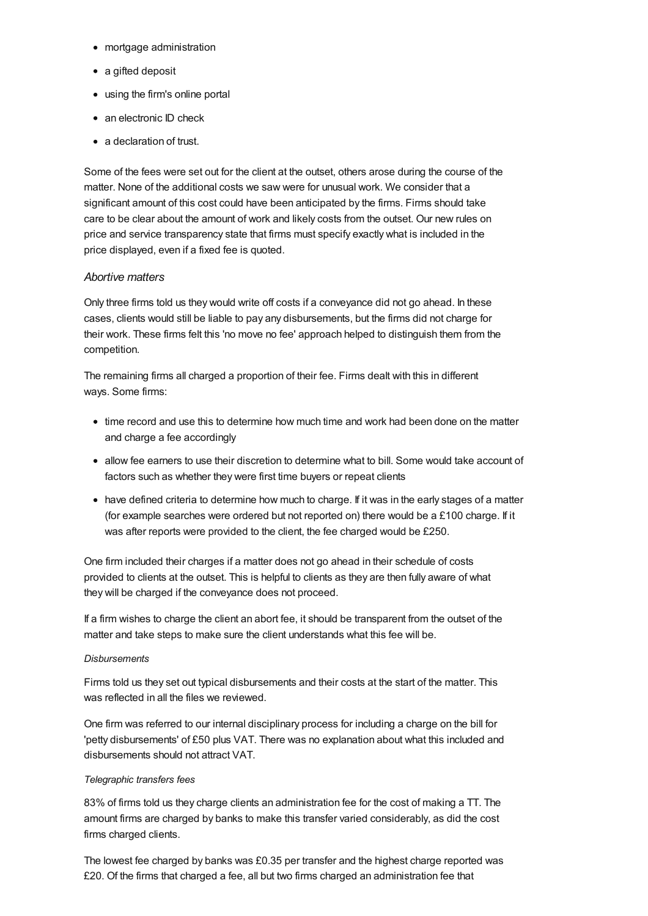- <span id="page-22-0"></span>• mortgage administration
- a gifted deposit
- using the firm's online portal
- an electronic ID check
- a declaration of trust.

Some of the fees were set out for the client at the outset, others arose during the course of the matter. None of the additional costs we saw were for unusual work. We consider that a significant amount of this cost could have been anticipated by the firms. Firms should take care to be clear about the amount of work and likely costs from the outset. Our new rules on price and service transparency state that firms must specify exactly what is included in the price displayed, even if a fixed fee is quoted.

## *Abortive matters*

Only three firms told us they would write off costs if a conveyance did not go ahead. In these cases, clients would still be liable to pay any disbursements, but the firms did not charge for their work. These firms felt this 'no move no fee' approach helped to distinguish them from the competition.

The remaining firms all charged a proportion of their fee. Firms dealt with this in different ways. Some firms:

- time record and use this to determine how much time and work had been done on the matter and charge a fee accordingly
- allow fee earners to use their discretion to determine what to bill. Some would take account of factors such as whether they were first time buyers or repeat clients
- have defined criteria to determine how much to charge. If it was in the early stages of a matter (for example searches were ordered but not reported on) there would be a £100 charge. If it was after reports were provided to the client, the fee charged would be £250.

One firm included their charges if a matter does not go ahead in their schedule of costs provided to clients at the outset. This is helpful to clients as they are then fully aware of what they will be charged if the conveyance does not proceed.

If a firm wishes to charge the client an abort fee, it should be transparent from the outset of the matter and take steps to make sure the client understands what this fee will be.

## *Disbursements*

Firms told us they set out typical disbursements and their costs at the start of the matter. This was reflected in all the files we reviewed.

One firm was referred to our internal disciplinary process for including a charge on the bill for 'petty disbursements' of £50 plus VAT. There was no explanation about what this included and disbursements should not attract VAT.

#### *Telegraphic transfers fees*

83% of firms told us they charge clients an administration fee for the cost of making a TT. The amount firms are charged by banks to make this transfer varied considerably, as did the cost firms charged clients.

The lowest fee charged by banks was £0.35 per transfer and the highest charge reported was £20. Of the firms that charged a fee, all but two firms charged an administration fee that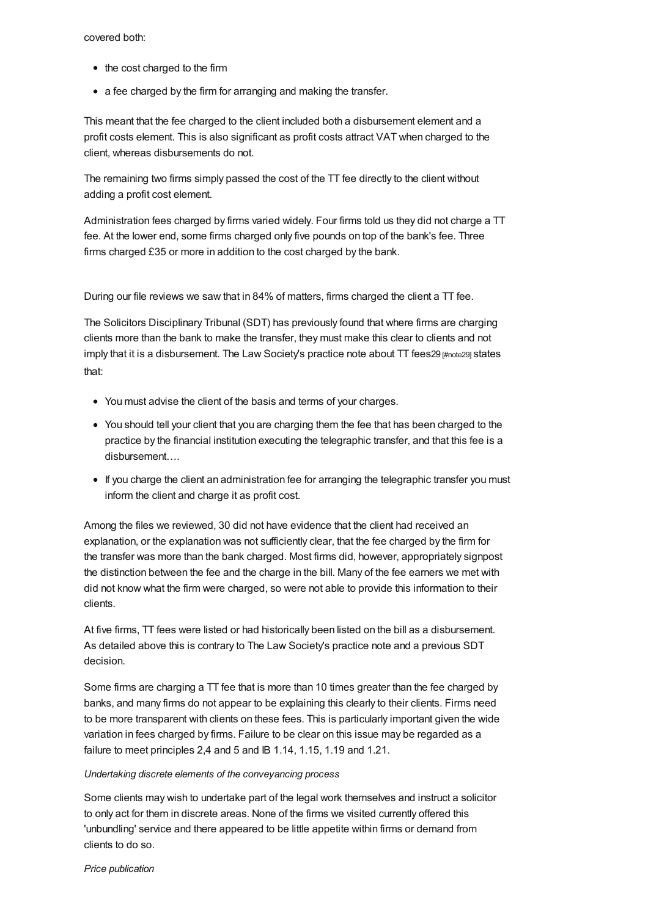#### covered both:

- the cost charged to the firm
- a fee charged by the firm for arranging and making the transfer.

This meant that the fee charged to the client included both a disbursement element and a profit costs element. This is also significant as profit costs attract VAT when charged to the client, whereas disbursements do not.

The remaining two firms simply passed the cost of the TT fee directly to the client without adding a profit cost element.

Administration fees charged by firms varied widely. Four firms told us they did not charge a TT fee. At the lower end, some firms charged only five pounds on top of the bank's fee. Three firms charged £35 or more in addition to the cost charged by the bank.

During our file reviews we saw that in 84% of matters, firms charged the client a TT fee.

The Solicitors Disciplinary Tribunal (SDT) has previously found that where firms are charging clients more than the bank to make the transfer, they must make this clear to clients and not imply that it is a disbursement. The Law Society's practice note about  $TT$  fees 29 [\[#note29\]](#page-38-17) states that:

- You must advise the client of the basis and terms of your charges.
- You should tell your client that you are charging them the fee that has been charged to the practice by the financial institution executing the telegraphic transfer, and that this fee is a disbursement….
- If you charge the client an administration fee for arranging the telegraphic transfer you must inform the client and charge it as profit cost.

Among the files we reviewed, 30 did not have evidence that the client had received an explanation, or the explanation was not sufficiently clear, that the fee charged by the firm for the transfer was more than the bank charged. Most firms did, however, appropriately signpost the distinction between the fee and the charge in the bill. Many of the fee earners we met with did not know what the firm were charged, so were not able to provide this information to their clients.

At five firms, TT fees were listed or had historically been listed on the bill as a disbursement. As detailed above this is contrary to The Law Society's practice note and a previous SDT decision.

Some firms are charging a TT fee that is more than 10 times greater than the fee charged by banks, and many firms do not appear to be explaining this clearly to their clients. Firms need to be more transparent with clients on these fees. This is particularly important given the wide variation in fees charged by firms. Failure to be clear on this issue may be regarded as a failure to meet principles 2,4 and 5 and IB 1.14, 1.15, 1.19 and 1.21.

#### *Undertaking discrete elements of the conveyancing process*

Some clients may wish to undertake part of the legal work themselves and instruct a solicitor to only act for them in discrete areas. None of the firms we visited currently offered this 'unbundling' service and there appeared to be little appetite within firms or demand from clients to do so.

*Price publication*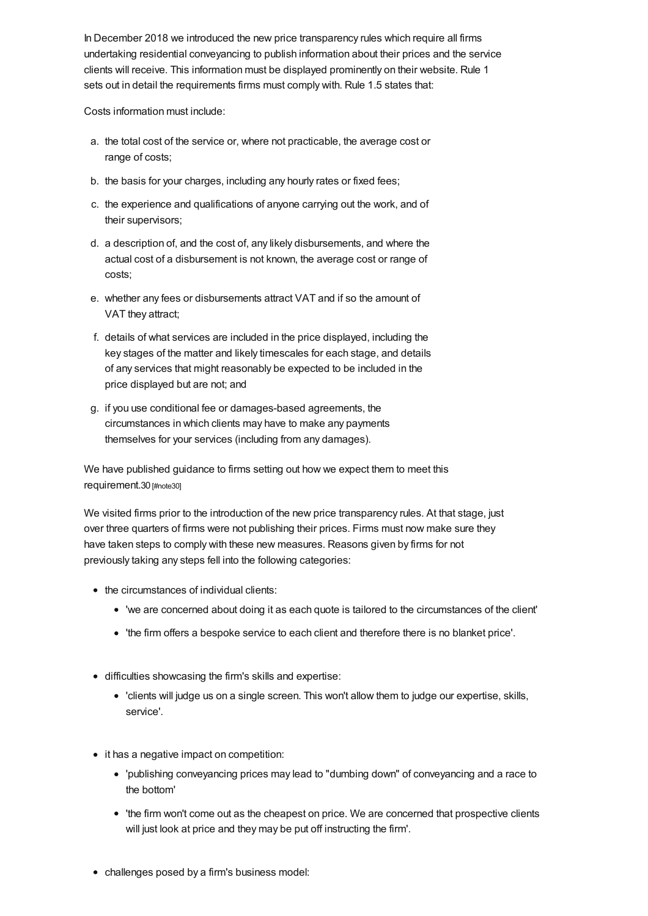In December 2018 we introduced the new price transparency rules which require all firms undertaking residential conveyancing to publish information about their prices and the service clients will receive. This information must be displayed prominently on their website. Rule 1 sets out in detail the requirements firms must comply with. Rule 1.5 states that:

Costs information must include:

- a. the total cost of the service or, where not practicable, the average cost or range of costs;
- b. the basis for your charges, including any hourly rates or fixed fees;
- c. the experience and qualifications of anyone carrying out the work, and of their supervisors;
- d. a description of, and the cost of, any likely disbursements, and where the actual cost of a disbursement is not known, the average cost or range of costs;
- e. whether any fees or disbursements attract VAT and if so the amount of VAT they attract;
- f. details of what services are included in the price displayed, including the key stages of the matter and likely timescales for each stage, and details of any services that might reasonably be expected to be included in the price displayed but are not; and
- g. if you use conditional fee or damages-based agreements, the circumstances in which clients may have to make any payments themselves for your services (including from any damages).

We have published guidance to firms setting out how we expect them to meet this requirement.30 [\[#note30\]](#page-38-18)

We visited firms prior to the introduction of the new price transparency rules. At that stage, just over three quarters of firms were not publishing their prices. Firms must now make sure they have taken steps to comply with these new measures. Reasons given by firms for not previously taking any steps fell into the following categories:

- the circumstances of individual clients:
	- 'we are concerned about doing it as each quote is tailored to the circumstances of the client'
	- 'the firm offers a bespoke service to each client and therefore there is no blanket price'.
- difficulties showcasing the firm's skills and expertise:
	- 'clients will judge us on a single screen. This won't allow them to judge our expertise, skills, service'.
- it has a negative impact on competition:
	- 'publishing conveyancing prices may lead to "dumbing down" of conveyancing and a race to the bottom'
	- 'the firm won't come out as the cheapest on price. We are concerned that prospective clients will just look at price and they may be put off instructing the firm'.
- challenges posed by a firm's business model: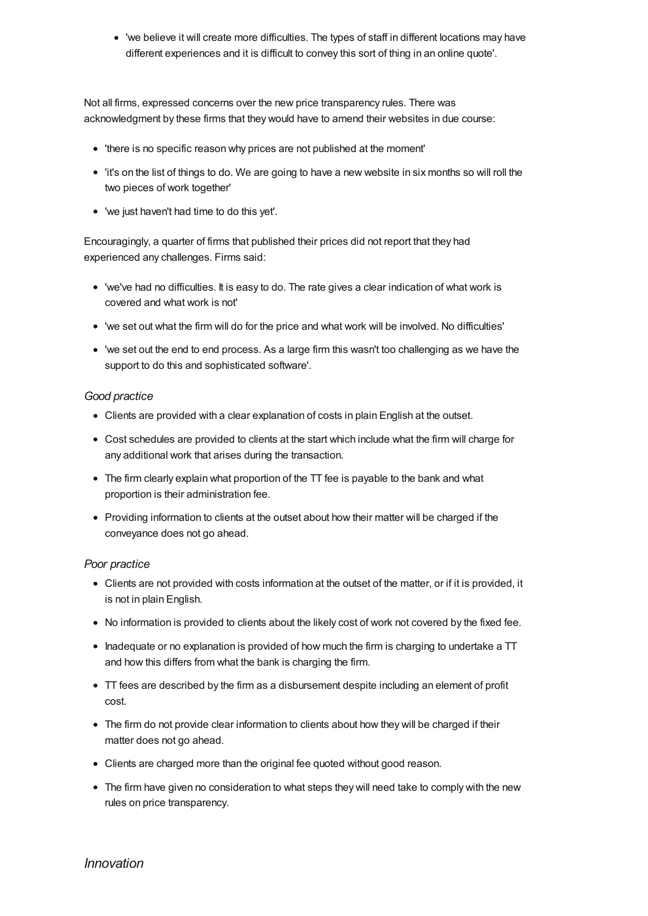'we believe it will create more difficulties. The types of staff in different locations may have different experiences and it is difficult to convey this sort of thing in an online quote'.

Not all firms, expressed concerns over the new price transparency rules. There was acknowledgment by these firms that they would have to amend their websites in due course:

- 'there is no specific reason why prices are not published at the moment'
- 'it's on the list of things to do. We are going to have a new website in six months so will roll the two pieces of work together'
- 'we just haven't had time to do this yet'.

Encouragingly, a quarter of firms that published their prices did not report that they had experienced any challenges. Firms said:

- 'we've had no difficulties. It is easy to do. The rate gives a clear indication of what work is covered and what work is not'
- 'we set out what the firm will do for the price and what work will be involved. No difficulties'
- 'we set out the end to end process. As a large firm this wasn't too challenging as we have the support to do this and sophisticated software'.

## *Good practice*

- Clients are provided with a clear explanation of costs in plain English at the outset.
- Cost schedules are provided to clients at the start which include what the firm will charge for any additional work that arises during the transaction.
- The firm clearly explain what proportion of the TT fee is payable to the bank and what proportion is their administration fee.
- Providing information to clients at the outset about how their matter will be charged if the conveyance does not go ahead.

## *Poor practice*

- Clients are not provided with costs information at the outset of the matter, or if it is provided, it is not in plain English.
- No information is provided to clients about the likely cost of work not covered by the fixed fee.
- $\bullet$  Inadequate or no explanation is provided of how much the firm is charging to undertake a  $TT$ and how this differs from what the bank is charging the firm.
- TT fees are described by the firm as a disbursement despite including an element of profit cost.
- The firm do not provide clear information to clients about how they will be charged if their matter does not go ahead.
- Clients are charged more than the original fee quoted without good reason.
- The firm have given no consideration to what steps they will need take to comply with the new rules on price transparency.

Innovation in residential conveyancing can bring benefits to consumers of legal services. We

# *[Innovation](#page-30-0)*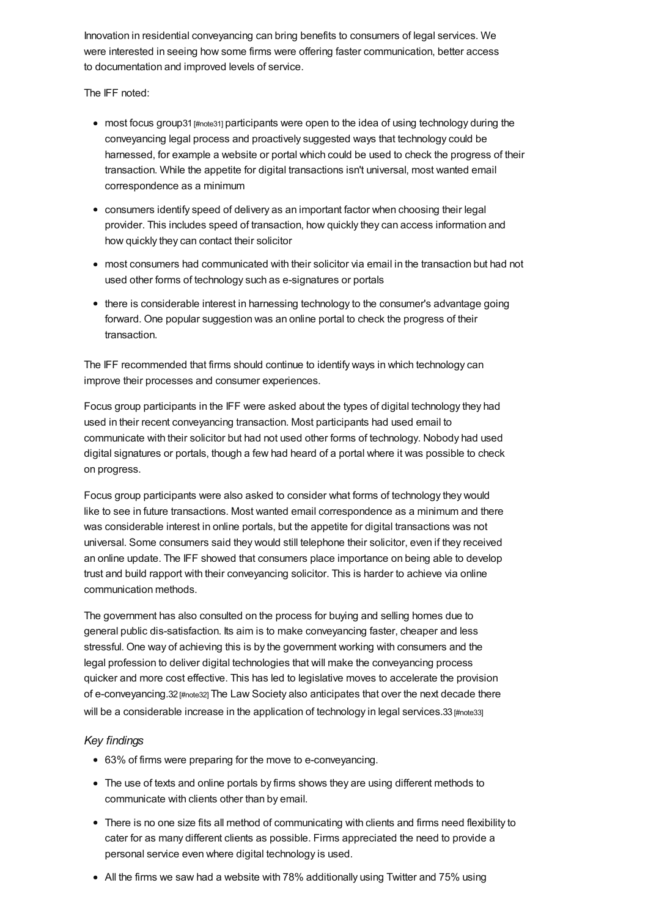Innovation in residential conveyancing can bring benefits to consumers of legal services. We were interested in seeing how some firms were offering faster communication, better access to documentation and improved levels of service.

The IFF noted:

- most focus group31 [\[#note31\]](#page-38-19) participants were open to the idea of using technology during the conveyancing legal process and proactively suggested ways that technology could be harnessed, for example a website or portal which could be used to check the progress of their transaction. While the appetite for digital transactions isn't universal, most wanted email correspondence as a minimum
- consumers identify speed of delivery as an important factor when choosing their legal provider. This includes speed of transaction, how quickly they can access information and how quickly they can contact their solicitor
- most consumers had communicated with their solicitor via email in the transaction but had not used other forms of technology such as e-signatures or portals
- there is considerable interest in harnessing technology to the consumer's advantage going forward. One popular suggestion was an online portal to check the progress of their transaction.

The IFF recommended that firms should continue to identify ways in which technology can improve their processes and consumer experiences.

Focus group participants in the IFF were asked about the types of digital technology they had used in their recent conveyancing transaction. Most participants had used email to communicate with their solicitor but had not used other forms of technology. Nobody had used digital signatures or portals, though a few had heard of a portal where it was possible to check on progress.

Focus group participants were also asked to consider what forms of technology they would like to see in future transactions. Most wanted email correspondence as a minimum and there was considerable interest in online portals, but the appetite for digital transactions was not universal. Some consumers said they would still telephone their solicitor, even if they received an online update. The IFF showed that consumers place importance on being able to develop trust and build rapport with their conveyancing solicitor. This is harder to achieve via online communication methods.

The government has also consulted on the process for buying and selling homes due to general public dis-satisfaction. Its aim is to make conveyancing faster, cheaper and less stressful. One way of achieving this is by the government working with consumers and the legal profession to deliver digital technologies that will make the conveyancing process quicker and more cost effective. This has led to legislative moves to accelerate the provision of e-conveyancing.32 [\[#note32\]](#page-38-20) The Law Society also anticipates that over the next decade there will be a considerable increase in the application of technology in legal services.33 [\[#note33\]](#page-39-0)

## *Key findings*

- 63% of firms were preparing for the move to e-conveyancing.
- The use of texts and online portals by firms shows they are using different methods to communicate with clients other than by email.
- There is no one size fits all method of communicating with clients and firms need flexibility to cater for as many different clients as possible. Firms appreciated the need to provide a personal service even where digital technology is used.
- All the firms we saw had a website with 78% additionally using Twitter and 75% using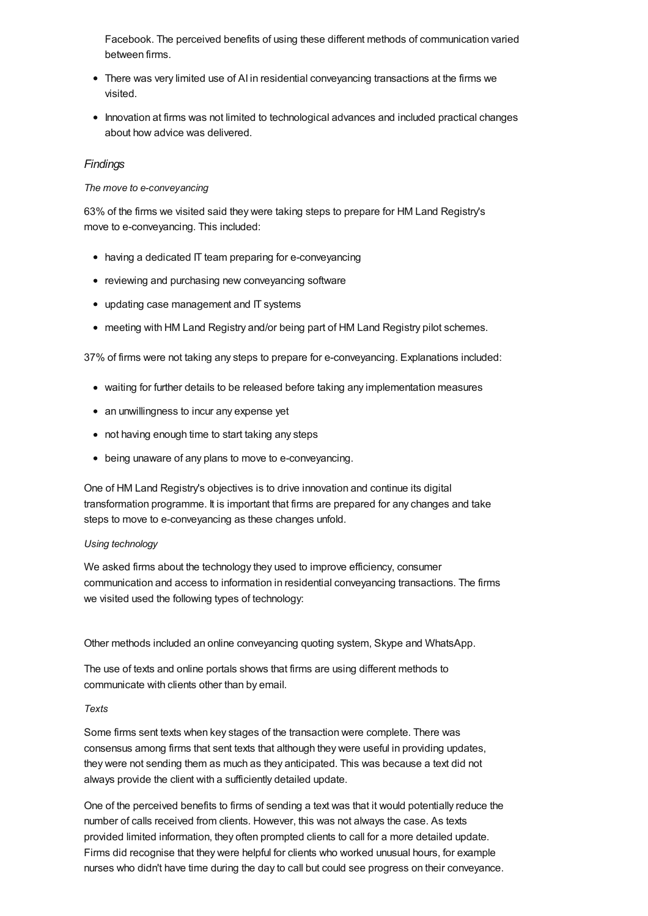Facebook. The perceived benefits of using these different methods of communication varied between firms.

- There was very limited use of AI in residential conveyancing transactions at the firms we visited.
- Innovation at firms was not limited to technological advances and included practical changes about how advice was delivered.

## *Findings*

#### *The move to e-conveyancing*

63% of the firms we visited said they were taking steps to prepare for HM Land Registry's move to e-conveyancing. This included:

- having a dedicated IT team preparing for e-conveyancing
- reviewing and purchasing new conveyancing software
- updating case management and IT systems
- meeting with HM Land Registry and/or being part of HM Land Registry pilot schemes.

37% of firms were not taking any steps to prepare for e-conveyancing. Explanations included:

- waiting for further details to be released before taking any implementation measures
- an unwillingness to incur any expense yet
- not having enough time to start taking any steps
- being unaware of any plans to move to e-conveyancing.

One of HM Land Registry's objectives is to drive innovation and continue its digital transformation programme. It is important that firms are prepared for any changes and take steps to move to e-conveyancing as these changes unfold.

#### *Using technology*

We asked firms about the technology they used to improve efficiency, consumer communication and access to information in residential conveyancing transactions. The firms we visited used the following types of technology:

Other methods included an online conveyancing quoting system, Skype and WhatsApp.

The use of texts and online portals shows that firms are using different methods to communicate with clients other than by email.

#### *Texts*

Some firms sent texts when key stages of the transaction were complete. There was consensus among firms that sent texts that although they were useful in providing updates, they were not sending them as much as they anticipated. This was because a text did not always provide the client with a sufficiently detailed update.

One of the perceived benefits to firms of sending a text was that it would potentially reduce the number of calls received from clients. However, this was not always the case. As texts provided limited information, they often prompted clients to call for a more detailed update. Firms did recognise that they were helpful for clients who worked unusual hours, for example nurses who didn't have time during the day to call but could see progress on their conveyance.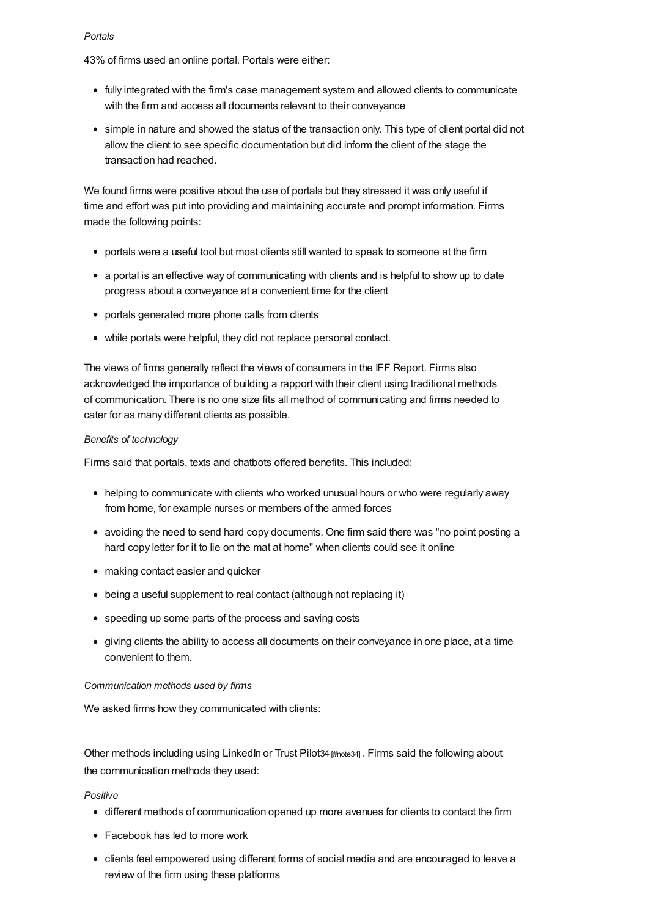#### *Portals*

43% of firms used an online portal. Portals were either:

- fully integrated with the firm's case management system and allowed clients to communicate with the firm and access all documents relevant to their conveyance
- simple in nature and showed the status of the transaction only. This type of client portal did not allow the client to see specific documentation but did inform the client of the stage the transaction had reached.

We found firms were positive about the use of portals but they stressed it was only useful if time and effort was put into providing and maintaining accurate and prompt information. Firms made the following points:

- portals were a useful tool but most clients still wanted to speak to someone at the firm
- a portal is an effective way of communicating with clients and is helpful to show up to date progress about a conveyance at a convenient time for the client
- portals generated more phone calls from clients
- while portals were helpful, they did not replace personal contact.

The views of firms generally reflect the views of consumers in the IFF Report. Firms also acknowledged the importance of building a rapport with their client using traditional methods of communication. There is no one size fits all method of communicating and firms needed to cater for as many different clients as possible.

## *Benefits of technology*

Firms said that portals, texts and chatbots offered benefits. This included:

- helping to communicate with clients who worked unusual hours or who were regularly away from home, for example nurses or members of the armed forces
- avoiding the need to send hard copy documents. One firm said there was "no point posting a hard copy letter for it to lie on the mat at home" when clients could see it online
- making contact easier and quicker
- being a useful supplement to real contact (although not replacing it)
- speeding up some parts of the process and saving costs
- giving clients the ability to access all documents on their conveyance in one place, at a time convenient to them.

#### *Communication methods used by firms*

We asked firms how they communicated with clients:

Other methods including using LinkedIn or Trust Pilot34 [\[#note34\]](#page-39-1) . Firms said the following about the communication methods they used:

#### *Positive*

- different methods of communication opened up more avenues for clients to contact the firm
- Facebook has led to more work
- clients feel empowered using different forms of social media and are encouraged to leave a review of the firm using these platforms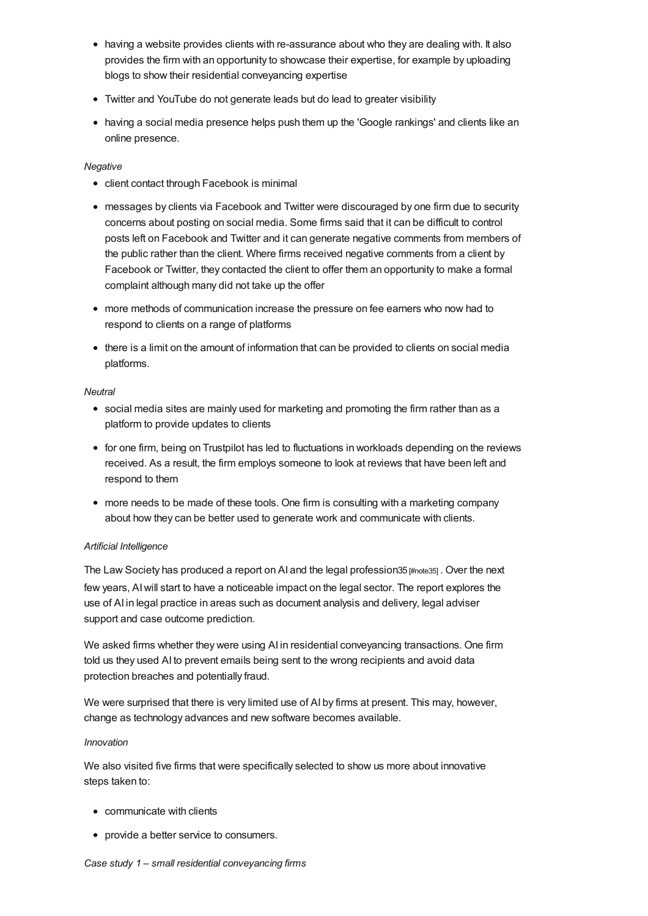- having a website provides clients with re-assurance about who they are dealing with. It also provides the firm with an opportunity to showcase their expertise, for example by uploading blogs to show their residential conveyancing expertise
- Twitter and YouTube do not generate leads but do lead to greater visibility
- having a social media presence helps push them up the 'Google rankings' and clients like an online presence.

#### *Negative*

- client contact through Facebook is minimal
- messages by clients via Facebook and Twitter were discouraged by one firm due to security concerns about posting on social media. Some firms said that it can be difficult to control posts left on Facebook and Twitter and it can generate negative comments from members of the public rather than the client. Where firms received negative comments from a client by Facebook or Twitter, they contacted the client to offer them an opportunity to make a formal complaint although many did not take up the offer
- more methods of communication increase the pressure on fee earners who now had to respond to clients on a range of platforms
- there is a limit on the amount of information that can be provided to clients on social media platforms.

## *Neutral*

- social media sites are mainly used for marketing and promoting the firm rather than as a platform to provide updates to clients
- for one firm, being on Trustpilot has led to fluctuations in workloads depending on the reviews received. As a result, the firm employs someone to look at reviews that have been left and respond to them
- more needs to be made of these tools. One firm is consulting with a marketing company about how they can be better used to generate work and communicate with clients.

#### *Artificial Intelligence*

The Law Society has produced a report on AI and the legal profession35 [\[#note35\]](#page-39-2) . Over the next few years, AIwill start to have a noticeable impact on the legal sector. The report explores the use of AI in legal practice in areas such as document analysis and delivery, legal adviser support and case outcome prediction.

We asked firms whether they were using AI in residential conveyancing transactions. One firm told us they used AI to prevent emails being sent to the wrong recipients and avoid data protection breaches and potentially fraud.

We were surprised that there is very limited use of AI by firms at present. This may, however, change as technology advances and new software becomes available.

#### *Innovation*

We also visited five firms that were specifically selected to show us more about innovative steps taken to:

- communicate with clients
- provide a better service to consumers.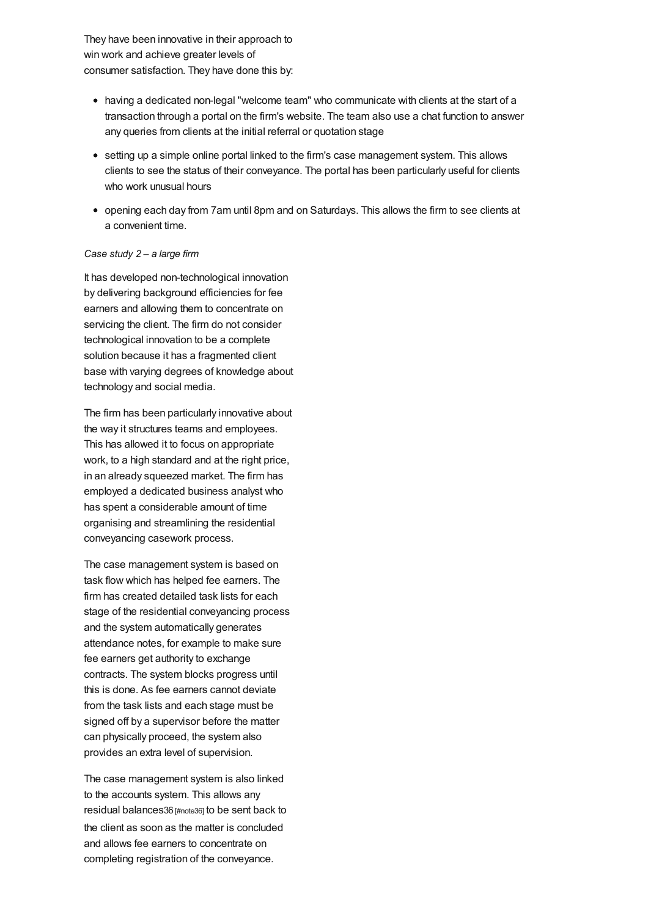<span id="page-30-0"></span>They have been innovative in their approach to win work and achieve greater levels of consumer satisfaction. They have done this by:

- having a dedicated non-legal "welcome team" who communicate with clients at the start of a transaction through a portal on the firm's website. The team also use a chat function to answer any queries from clients at the initial referral or quotation stage
- setting up a simple online portal linked to the firm's case management system. This allows clients to see the status of their conveyance. The portal has been particularly useful for clients who work unusual hours
- opening each day from 7am until 8pm and on Saturdays. This allows the firm to see clients at a convenient time.

#### *Case study 2 – a large firm*

It has developed non-technological innovation by delivering background efficiencies for fee earners and allowing them to concentrate on servicing the client. The firm do not consider technological innovation to be a complete solution because it has a fragmented client base with varying degrees of knowledge about technology and social media.

The firm has been particularly innovative about the way it structures teams and employees. This has allowed it to focus on appropriate work, to a high standard and at the right price, in an already squeezed market. The firm has employed a dedicated business analyst who has spent a considerable amount of time organising and streamlining the residential conveyancing casework process.

The case management system is based on task flow which has helped fee earners. The firm has created detailed task lists for each stage of the residential conveyancing process and the system automatically generates attendance notes, for example to make sure fee earners get authority to exchange contracts. The system blocks progress until this is done. As fee earners cannot deviate from the task lists and each stage must be signed off by a supervisor before the matter can physically proceed, the system also provides an extra level of supervision.

The case management system is also linked to the accounts system. This allows any residual balances36 [\[#note36\]](#page-39-3) to be sent back to the client as soon as the matter is concluded and allows fee earners to concentrate on completing registration of the conveyance.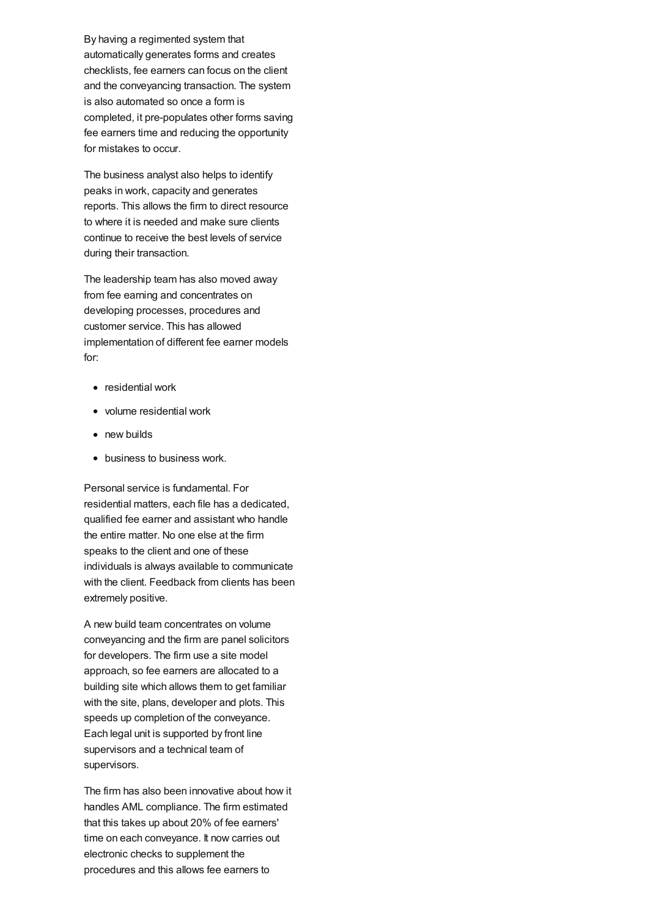By having a regimented system that automatically generates forms and creates checklists, fee earners can focus on the client and the conveyancing transaction. The system is also automated so once a form is completed, it pre-populates other forms saving fee earners time and reducing the opportunity for mistakes to occur.

The business analyst also helps to identify peaks in work, capacity and generates reports. This allows the firm to direct resource to where it is needed and make sure clients continue to receive the best levels of service during their transaction.

The leadership team has also moved away from fee earning and concentrates on developing processes, procedures and customer service. This has allowed implementation of different fee earner models for:

- residential work
- volume residential work
- new builds
- business to business work.

Personal service is fundamental. For residential matters, each file has a dedicated, qualified fee earner and assistant who handle the entire matter. No one else at the firm speaks to the client and one of these individuals is always available to communicate with the client. Feedback from clients has been extremely positive.

A new build team concentrates on volume conveyancing and the firm are panel solicitors for developers. The firm use a site model approach, so fee earners are allocated to a building site which allows them to get familiar with the site, plans, developer and plots. This speeds up completion of the conveyance. Each legal unit is supported by front line supervisors and a technical team of supervisors.

The firm has also been innovative about how it handles AML compliance. The firm estimated that this takes up about 20% of fee earners' time on each conveyance. It now carries out electronic checks to supplement the procedures and this allows fee earners to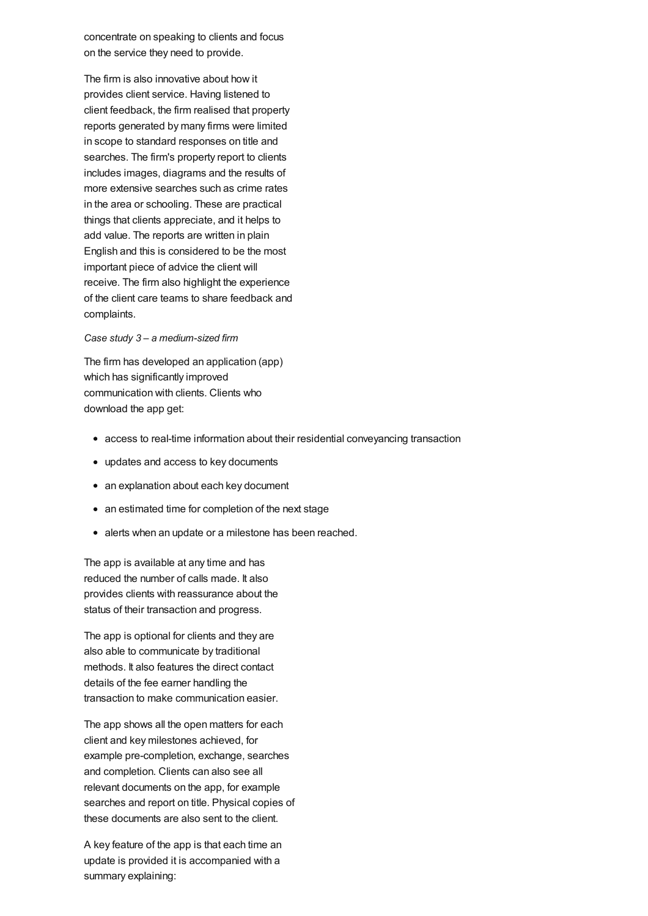concentrate on speaking to clients and focus on the service they need to provide.

The firm is also innovative about how it provides client service. Having listened to client feedback, the firm realised that property reports generated by many firms were limited in scope to standard responses on title and searches. The firm's property report to clients includes images, diagrams and the results of more extensive searches such as crime rates in the area or schooling. These are practical things that clients appreciate, and it helps to add value. The reports are written in plain English and this is considered to be the most important piece of advice the client will receive. The firm also highlight the experience of the client care teams to share feedback and complaints.

#### *Case study 3 – a medium-sized firm*

The firm has developed an application (app) which has significantly improved communication with clients. Clients who download the app get:

- access to real-time information about their residential conveyancing transaction
- updates and access to key documents
- an explanation about each key document
- an estimated time for completion of the next stage
- alerts when an update or a milestone has been reached.

The app is available at any time and has reduced the number of calls made. It also provides clients with reassurance about the status of their transaction and progress.

The app is optional for clients and they are also able to communicate by traditional methods. It also features the direct contact details of the fee earner handling the transaction to make communication easier.

The app shows all the open matters for each client and key milestones achieved, for example pre-completion, exchange, searches and completion. Clients can also see all relevant documents on the app, for example searches and report on title. Physical copies of these documents are also sent to the client.

A key feature of the app is that each time an update is provided it is accompanied with a summary explaining: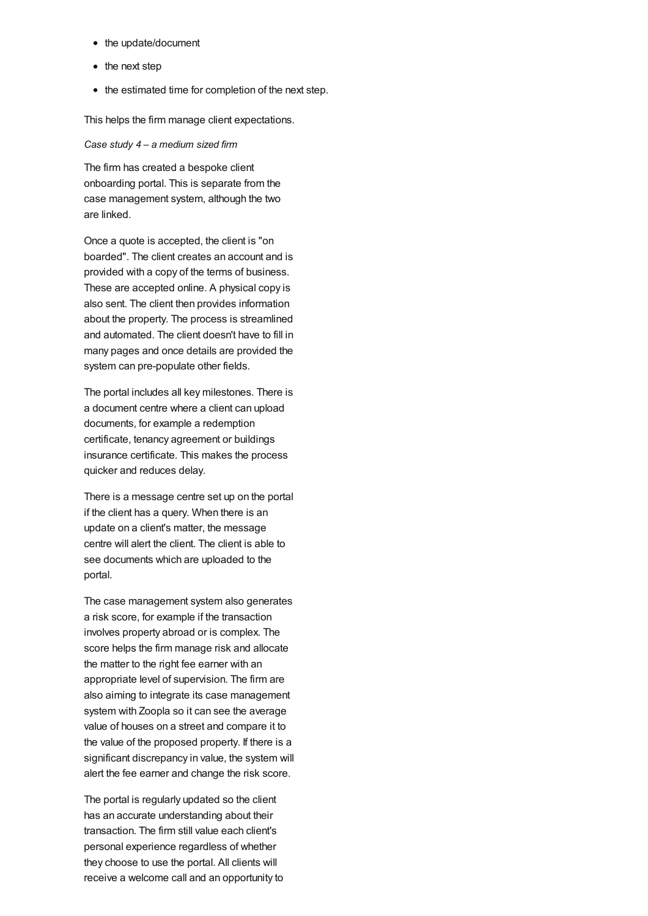- the update/document
- the next step
- the estimated time for completion of the next step.

This helps the firm manage client expectations.

#### *Case study 4 – a medium sized firm*

The firm has created a bespoke client onboarding portal. This is separate from the case management system, although the two are linked.

Once a quote is accepted, the client is "on boarded". The client creates an account and is provided with a copy of the terms of business. These are accepted online. A physical copy is also sent. The client then provides information about the property. The process is streamlined and automated. The client doesn't have to fill in many pages and once details are provided the system can pre-populate other fields.

The portal includes all key milestones. There is a document centre where a client can upload documents, for example a redemption certificate, tenancy agreement or buildings insurance certificate. This makes the process quicker and reduces delay.

There is a message centre set up on the portal if the client has a query. When there is an update on a client's matter, the message centre will alert the client. The client is able to see documents which are uploaded to the portal.

The case management system also generates a risk score, for example if the transaction involves property abroad or is complex. The score helps the firm manage risk and allocate the matter to the right fee earner with an appropriate level of supervision. The firm are also aiming to integrate its case management system with Zoopla so it can see the average value of houses on a street and compare it to the value of the proposed property. If there is a significant discrepancy in value, the system will alert the fee earner and change the risk score.

The portal is regularly updated so the client has an accurate understanding about their transaction. The firm still value each client's personal experience regardless of whether they choose to use the portal. All clients will receive a welcome call and an opportunity to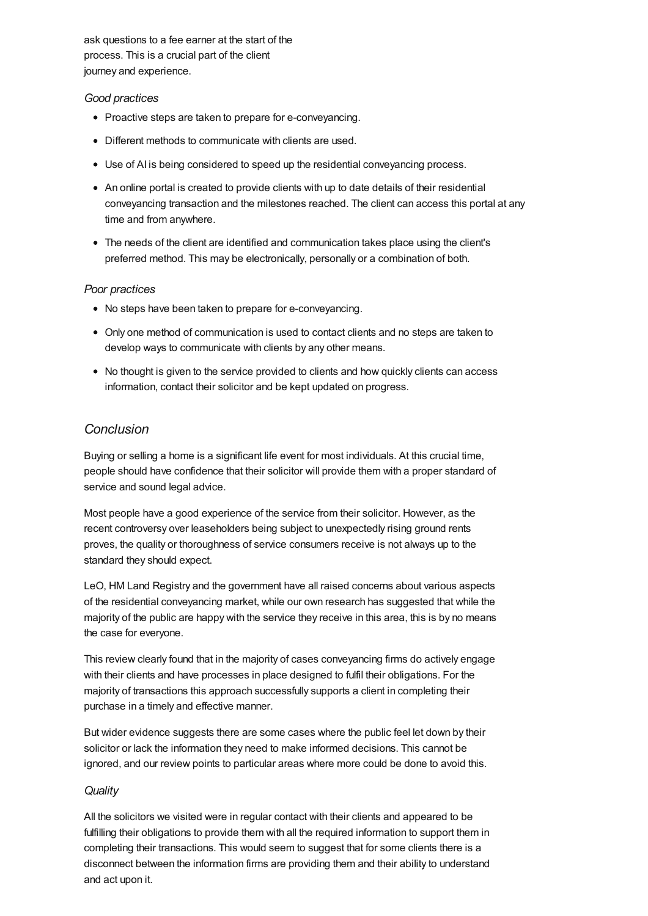ask questions to a fee earner at the start of the process. This is a crucial part of the client journey and experience.

## *Good practices*

- Proactive steps are taken to prepare for e-conveyancing.
- Different methods to communicate with clients are used.
- Use of AI is being considered to speed up the residential conveyancing process.
- An online portal is created to provide clients with up to date details of their residential conveyancing transaction and the milestones reached. The client can access this portal at any time and from anywhere.
- The needs of the client are identified and communication takes place using the client's preferred method. This may be electronically, personally or a combination of both.

## *Poor practices*

- No steps have been taken to prepare for e-conveyancing.
- Only one method of communication is used to contact clients and no steps are taken to develop ways to communicate with clients by any other means.
- No thought is given to the service provided to clients and how quickly clients can access information, contact their solicitor and be kept updated on progress.

# *[Conclusion](#page-35-0)*

Buying or selling a home is a significant life event for most individuals. At this crucial time, people should have confidence that their solicitor will provide them with a proper standard of service and sound legal advice.

Most people have a good experience of the service from their solicitor. However, as the recent controversy over leaseholders being subject to unexpectedly rising ground rents proves, the quality or thoroughness of service consumers receive is not always up to the standard they should expect.

LeO, HM Land Registry and the government have all raised concerns about various aspects of the residential conveyancing market, while our own research has suggested that while the majority of the public are happy with the service they receive in this area, this is by no means the case for everyone.

This review clearly found that in the majority of cases conveyancing firms do actively engage with their clients and have processes in place designed to fulfil their obligations. For the majority of transactions this approach successfully supports a client in completing their purchase in a timely and effective manner.

But wider evidence suggests there are some cases where the public feel let down by their solicitor or lack the information they need to make informed decisions. This cannot be ignored, and our review points to particular areas where more could be done to avoid this.

## *Quality*

All the solicitors we visited were in regular contact with their clients and appeared to be fulfilling their obligations to provide them with all the required information to support them in completing their transactions. This would seem to suggest that for some clients there is a disconnect between the information firms are providing them and their ability to understand and act upon it.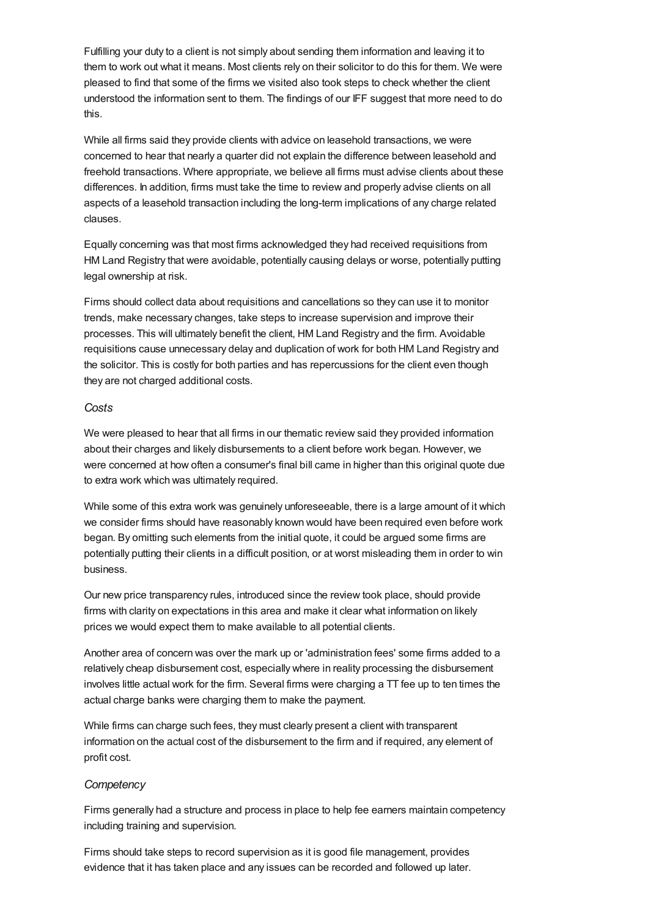<span id="page-35-0"></span>Fulfilling your duty to a client is not simply about sending them information and leaving it to them to work out what it means. Most clients rely on their solicitor to do this for them. We were pleased to find that some of the firms we visited also took steps to check whether the client understood the information sent to them. The findings of our IFF suggest that more need to do this.

While all firms said they provide clients with advice on leasehold transactions, we were concerned to hear that nearly a quarter did not explain the difference between leasehold and freehold transactions. Where appropriate, we believe all firms must advise clients about these differences. In addition, firms must take the time to review and properly advise clients on all aspects of a leasehold transaction including the long-term implications of any charge related clauses.

Equally concerning was that most firms acknowledged they had received requisitions from HM Land Registry that were avoidable, potentially causing delays or worse, potentially putting legal ownership at risk.

Firms should collect data about requisitions and cancellations so they can use it to monitor trends, make necessary changes, take steps to increase supervision and improve their processes. This will ultimately benefit the client, HM Land Registry and the firm. Avoidable requisitions cause unnecessary delay and duplication of work for both HM Land Registry and the solicitor. This is costly for both parties and has repercussions for the client even though they are not charged additional costs.

## *Costs*

We were pleased to hear that all firms in our thematic review said they provided information about their charges and likely disbursements to a client before work began. However, we were concerned at how often a consumer's final bill came in higher than this original quote due to extra work which was ultimately required.

While some of this extra work was genuinely unforeseeable, there is a large amount of it which we consider firms should have reasonably known would have been required even before work began. By omitting such elements from the initial quote, it could be argued some firms are potentially putting their clients in a difficult position, or at worst misleading them in order to win business.

Our new price transparency rules, introduced since the review took place, should provide firms with clarity on expectations in this area and make it clear what information on likely prices we would expect them to make available to all potential clients.

Another area of concern was over the mark up or 'administration fees' some firms added to a relatively cheap disbursement cost, especially where in reality processing the disbursement involves little actual work for the firm. Several firms were charging a TT fee up to ten times the actual charge banks were charging them to make the payment.

While firms can charge such fees, they must clearly present a client with transparent information on the actual cost of the disbursement to the firm and if required, any element of profit cost.

## *Competency*

Firms generally had a structure and process in place to help fee earners maintain competency including training and supervision.

Firms should take steps to record supervision as it is good file management, provides evidence that it has taken place and any issues can be recorded and followed up later.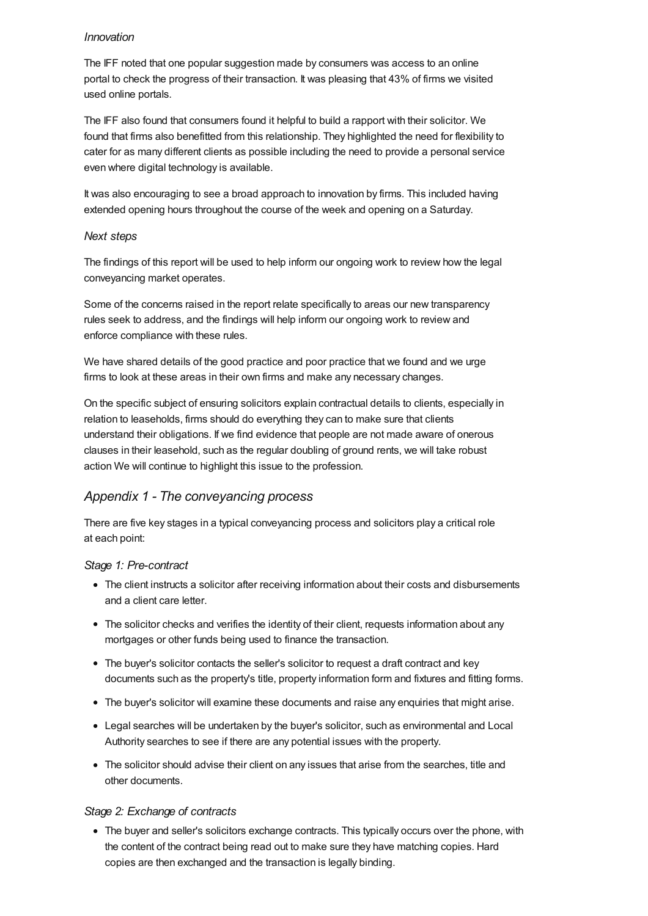## *Innovation*

The IFF noted that one popular suggestion made by consumers was access to an online portal to check the progress of their transaction. It was pleasing that 43% of firms we visited used online portals.

The IFF also found that consumers found it helpful to build a rapport with their solicitor. We found that firms also benefitted from this relationship. They highlighted the need for flexibility to cater for as many different clients as possible including the need to provide a personal service even where digital technology is available.

It was also encouraging to see a broad approach to innovation by firms. This included having extended opening hours throughout the course of the week and opening on a Saturday.

## *Next steps*

The findings of this report will be used to help inform our ongoing work to review how the legal conveyancing market operates.

Some of the concerns raised in the report relate specifically to areas our new transparency rules seek to address, and the findings will help inform our ongoing work to review and enforce compliance with these rules.

We have shared details of the good practice and poor practice that we found and we urge firms to look at these areas in their own firms and make any necessary changes.

On the specific subject of ensuring solicitors explain contractual details to clients, especially in relation to leaseholds, firms should do everything they can to make sure that clients understand their obligations. If we find evidence that people are not made aware of onerous clauses in their leasehold, such as the regular doubling of ground rents, we will take robust action We will continue to highlight this issue to the profession.

# *Appendix 1 - The [conveyancing](#page-37-10) process*

There are five key stages in a typical conveyancing process and solicitors play a critical role at each point:

## *Stage 1: Pre-contract*

- The client instructs a solicitor after receiving information about their costs and disbursements and a client care letter.
- The solicitor checks and verifies the identity of their client, requests information about any mortgages or other funds being used to finance the transaction.
- The buyer's solicitor contacts the seller's solicitor to request a draft contract and key documents such as the property's title, property information form and fixtures and fitting forms.
- The buyer's solicitor will examine these documents and raise any enquiries that might arise.
- Legal searches will be undertaken by the buyer's solicitor, such as environmental and Local Authority searches to see if there are any potential issues with the property.
- The solicitor should advise their client on any issues that arise from the searches, title and other documents.

# *Stage 2: Exchange of contracts*

The buyer and seller's solicitors exchange contracts. This typically occurs over the phone, with the content of the contract being read out to make sure they have matching copies. Hard copies are then exchanged and the transaction is legally binding.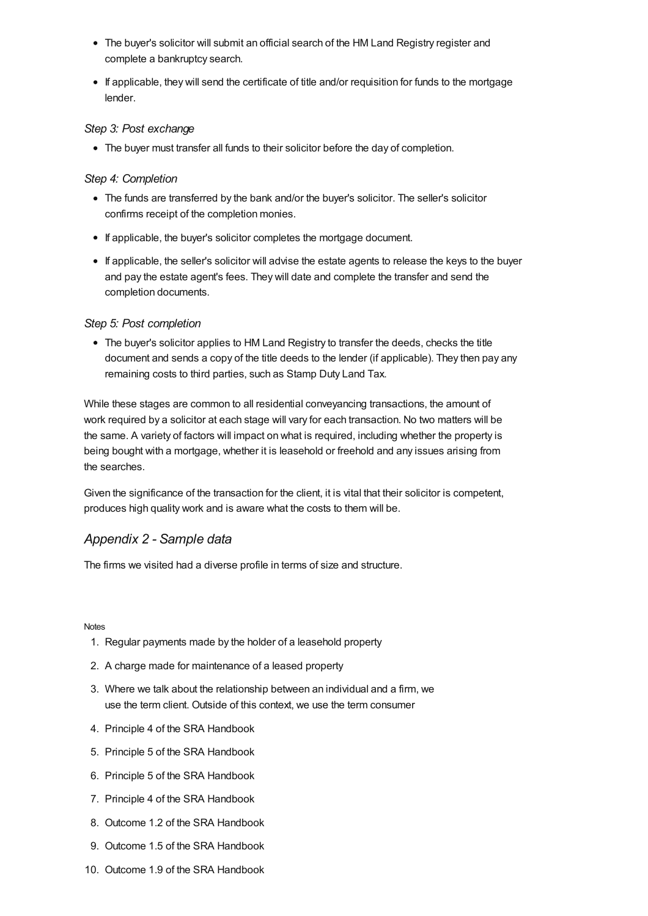- <span id="page-37-10"></span>The buyer's solicitor will submit an official search of the HM Land Registry register and complete a bankruptcy search.
- If applicable, they will send the certificate of title and/or requisition for funds to the mortgage lender.

## *Step 3: Post exchange*

The buyer must transfer all funds to their solicitor before the day of completion.

## *Step 4: Completion*

- The funds are transferred by the bank and/or the buyer's solicitor. The seller's solicitor confirms receipt of the completion monies.
- If applicable, the buyer's solicitor completes the mortgage document.
- If applicable, the seller's solicitor will advise the estate agents to release the keys to the buyer and pay the estate agent's fees. They will date and complete the transfer and send the completion documents.

#### *Step 5: Post completion*

The buyer's solicitor applies to HM Land Registry to transfer the deeds, checks the title document and sends a copy of the title deeds to the lender (if applicable). They then pay any remaining costs to third parties, such as Stamp Duty Land Tax.

While these stages are common to all residential conveyancing transactions, the amount of work required by a solicitor at each stage will vary for each transaction. No two matters will be the same. A variety of factors will impact on what is required, including whether the property is being bought with a mortgage, whether it is leasehold or freehold and any issues arising from the searches.

Given the significance of the transaction for the client, it is vital that their solicitor is competent, produces high quality work and is aware what the costs to them will be.

# *[Appendix](#page-37-11) 2 - Sample data*

<span id="page-37-11"></span>The firms we visited had a diverse profile in terms of size and structure.

#### **[Notes](#page-38-21)**

- <span id="page-37-0"></span>1. Regular payments made by the holder of a leasehold property
- <span id="page-37-1"></span>2. A charge made for maintenance of a leased property
- <span id="page-37-2"></span>3. Where we talk about the relationship between an individual and a firm, we use the term client. Outside of this context, we use the term consumer
- <span id="page-37-3"></span>4. Principle 4 of the SRA Handbook
- <span id="page-37-4"></span>5. Principle 5 of the SRA Handbook
- <span id="page-37-5"></span>6. Principle 5 of the SRA Handbook
- <span id="page-37-6"></span>7. Principle 4 of the SRA Handbook
- <span id="page-37-7"></span>8. Outcome 1.2 of the SRA Handbook
- <span id="page-37-8"></span>9. Outcome 1.5 of the SRA Handbook
- <span id="page-37-9"></span>10. Outcome 1.9 of the SRA Handbook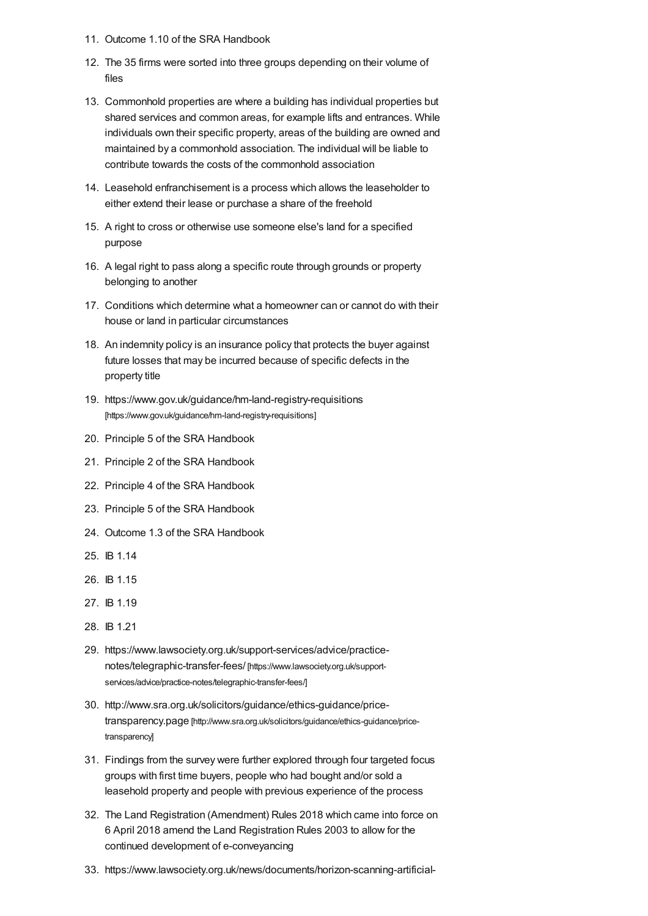- <span id="page-38-21"></span>11. Outcome 1.10 of the SRA Handbook
- <span id="page-38-0"></span>12. The 35 firms were sorted into three groups depending on their volume of files
- <span id="page-38-1"></span>13. Commonhold properties are where a building has individual properties but shared services and common areas, for example lifts and entrances. While individuals own their specific property, areas of the building are owned and maintained by a commonhold association. The individual will be liable to contribute towards the costs of the commonhold association
- <span id="page-38-2"></span>14. Leasehold enfranchisement is a process which allows the leaseholder to either extend their lease or purchase a share of the freehold
- <span id="page-38-3"></span>15. A right to cross or otherwise use someone else's land for a specified purpose
- <span id="page-38-4"></span>16. A legal right to pass along a specific route through grounds or property belonging to another
- <span id="page-38-5"></span>17. Conditions which determine what a homeowner can or cannot do with their house or land in particular circumstances
- <span id="page-38-6"></span>18. An indemnity policy is an insurance policy that protects the buyer against future losses that may be incurred because of specific defects in the property title
- <span id="page-38-7"></span>19. <https://www.gov.uk/guidance/hm-land-registry-requisitions> [https://www.gov.uk/guidance/hm-land-registry-requisitions]
- <span id="page-38-8"></span>20. Principle 5 of the SRA Handbook
- <span id="page-38-9"></span>21. Principle 2 of the SRA Handbook
- <span id="page-38-10"></span>22. Principle 4 of the SRA Handbook
- <span id="page-38-11"></span>23. Principle 5 of the SRA Handbook
- <span id="page-38-12"></span>24. Outcome 1.3 of the SRA Handbook
- <span id="page-38-13"></span>25. IB 1.14
- <span id="page-38-14"></span>26. IB 1.15
- <span id="page-38-15"></span>27. IB 1.19
- <span id="page-38-16"></span>28. IB 1.21
- <span id="page-38-17"></span>29. [https://www.lawsociety.org.uk/support-services/advice/practice](https://www.lawsociety.org.uk/support-services/advice/practice-notes/telegraphic-transfer-fees/)notes/telegraphic-transfer-fees/ [https://www.lawsociety.org.uk/supportservices/advice/practice-notes/telegraphic-transfer-fees/]
- <span id="page-38-18"></span>30. [http://www.sra.org.uk/solicitors/guidance/ethics-guidance/price](http://www.sra.org.uk/solicitors/guidance/ethics-guidance/price-transparency)transparency.page [http://www.sra.org.uk/solicitors/guidance/ethics-guidance/pricetransparency]
- <span id="page-38-19"></span>31. Findings from the survey were further explored through four targeted focus groups with first time buyers, people who had bought and/or sold a leasehold property and people with previous experience of the process
- <span id="page-38-20"></span>32. The Land Registration (Amendment) Rules 2018 which came into force on 6 April 2018 amend the Land Registration Rules 2003 to allow for the continued development of e-conveyancing
- 33. https://www.lawsociety.org.uk/news/documents/horizon-scanning-artificial-